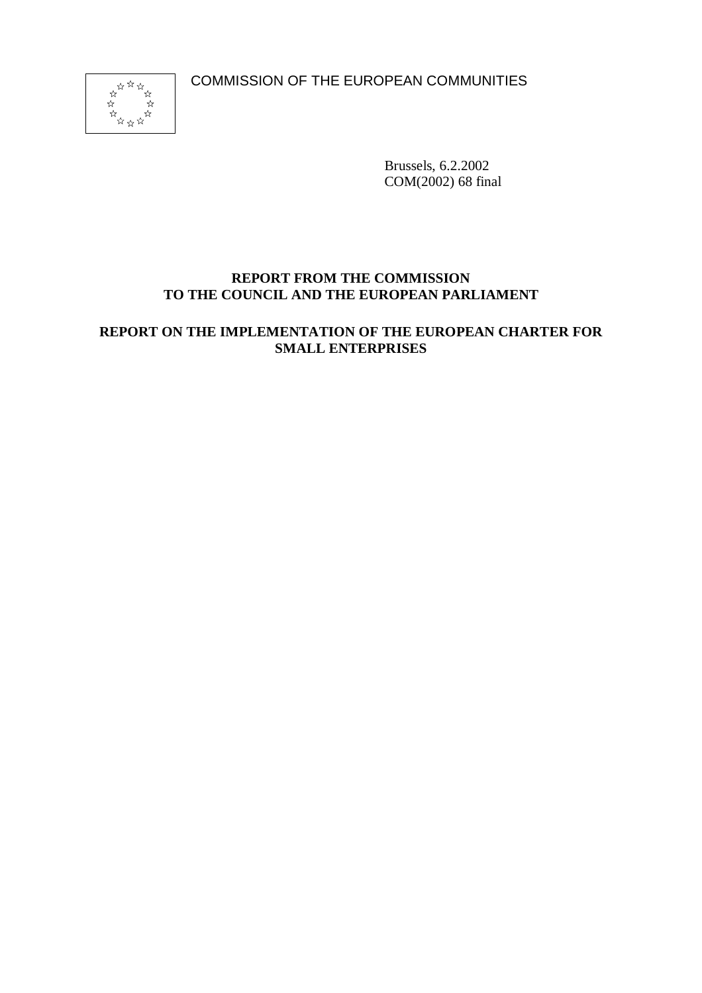COMMISSION OF THE EUROPEAN COMMUNITIES



Brussels, 6.2.2002 COM(2002) 68 final

## **REPORT FROM THE COMMISSION TO THE COUNCIL AND THE EUROPEAN PARLIAMENT**

**REPORT ON THE IMPLEMENTATION OF THE EUROPEAN CHARTER FOR SMALL ENTERPRISES**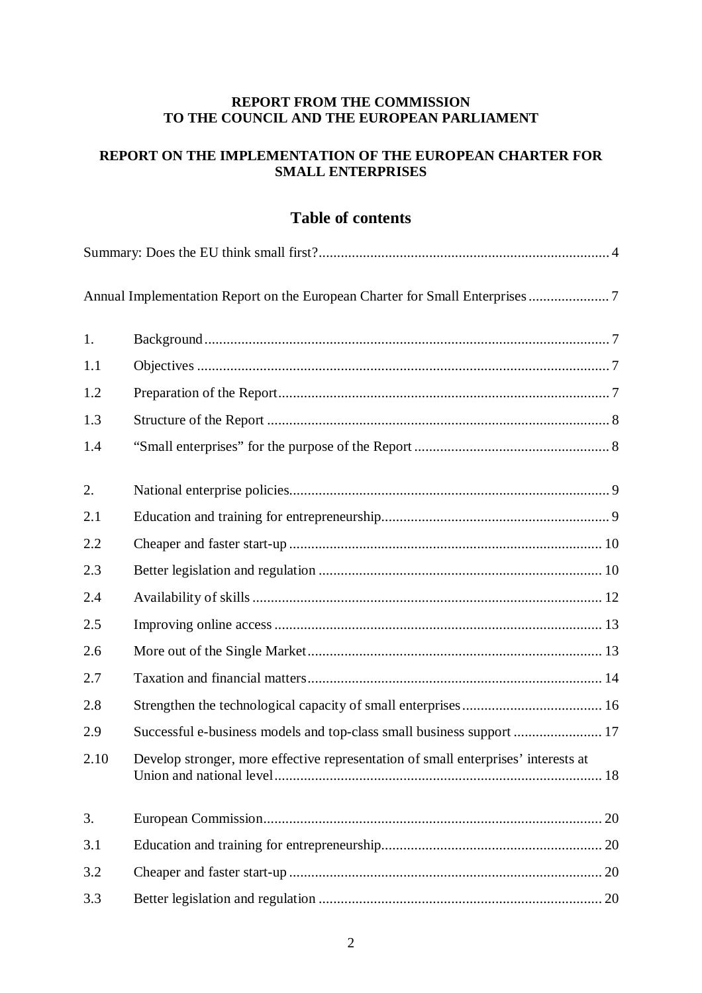#### **REPORT FROM THE COMMISSION TO THE COUNCIL AND THE EUROPEAN PARLIAMENT**

# **REPORT ON THE IMPLEMENTATION OF THE EUROPEAN CHARTER FOR SMALL ENTERPRISES**

# **Table of contents**

|      | Annual Implementation Report on the European Charter for Small Enterprises 7       |  |
|------|------------------------------------------------------------------------------------|--|
| 1.   |                                                                                    |  |
| 1.1  |                                                                                    |  |
| 1.2  |                                                                                    |  |
| 1.3  |                                                                                    |  |
| 1.4  |                                                                                    |  |
| 2.   |                                                                                    |  |
| 2.1  |                                                                                    |  |
| 2.2  |                                                                                    |  |
| 2.3  |                                                                                    |  |
| 2.4  |                                                                                    |  |
| 2.5  |                                                                                    |  |
| 2.6  |                                                                                    |  |
| 2.7  |                                                                                    |  |
| 2.8  |                                                                                    |  |
| 2.9  | Successful e-business models and top-class small business support  17              |  |
| 2.10 | Develop stronger, more effective representation of small enterprises' interests at |  |
| 3.   |                                                                                    |  |
| 3.1  |                                                                                    |  |
| 3.2  |                                                                                    |  |
| 3.3  |                                                                                    |  |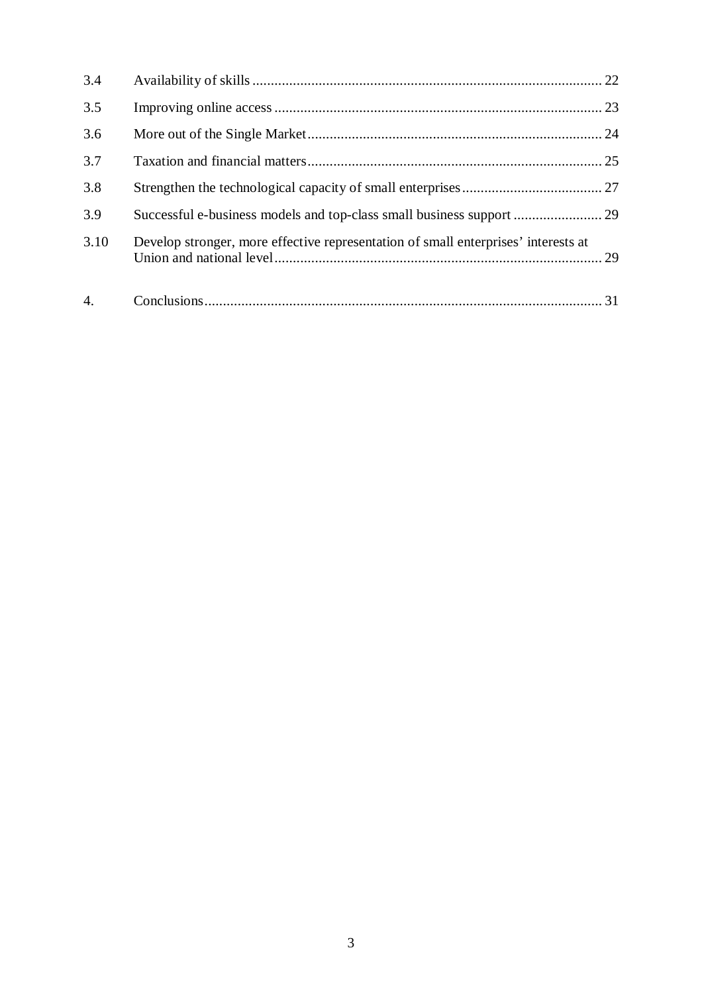| 3.4              |                                                                                    |  |
|------------------|------------------------------------------------------------------------------------|--|
| 3.5              |                                                                                    |  |
| 3.6              |                                                                                    |  |
| 3.7              |                                                                                    |  |
| 3.8              |                                                                                    |  |
| 3.9              | Successful e-business models and top-class small business support  29              |  |
| 3.10             | Develop stronger, more effective representation of small enterprises' interests at |  |
| $\overline{4}$ . |                                                                                    |  |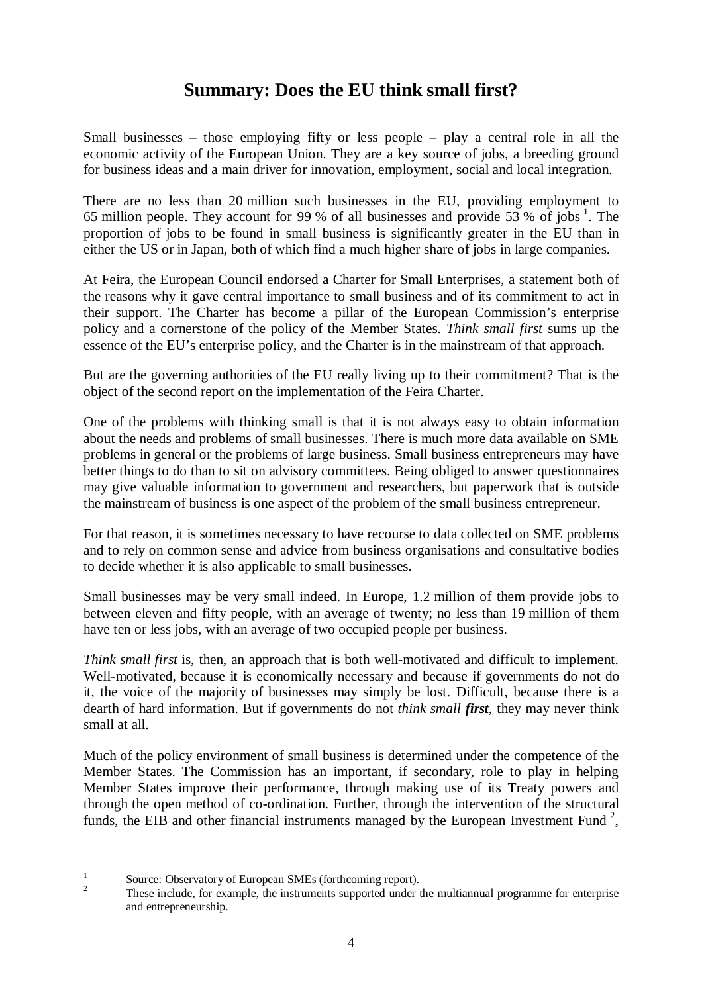# **Summary: Does the EU think small first?**

Small businesses – those employing fifty or less people – play a central role in all the economic activity of the European Union. They are a key source of jobs, a breeding ground for business ideas and a main driver for innovation, employment, social and local integration.

There are no less than 20 million such businesses in the EU, providing employment to 65 million people. They account for 99 % of all businesses and provide 53 % of jobs  $^1$ . The proportion of jobs to be found in small business is significantly greater in the EU than in either the US or in Japan, both of which find a much higher share of jobs in large companies.

At Feira, the European Council endorsed a Charter for Small Enterprises, a statement both of the reasons why it gave central importance to small business and of its commitment to act in their support. The Charter has become a pillar of the European Commission's enterprise policy and a cornerstone of the policy of the Member States. *Think small first* sums up the essence of the EU's enterprise policy, and the Charter is in the mainstream of that approach.

But are the governing authorities of the EU really living up to their commitment? That is the object of the second report on the implementation of the Feira Charter.

One of the problems with thinking small is that it is not always easy to obtain information about the needs and problems of small businesses. There is much more data available on SME problems in general or the problems of large business. Small business entrepreneurs may have better things to do than to sit on advisory committees. Being obliged to answer questionnaires may give valuable information to government and researchers, but paperwork that is outside the mainstream of business is one aspect of the problem of the small business entrepreneur.

For that reason, it is sometimes necessary to have recourse to data collected on SME problems and to rely on common sense and advice from business organisations and consultative bodies to decide whether it is also applicable to small businesses.

Small businesses may be very small indeed. In Europe, 1.2 million of them provide jobs to between eleven and fifty people, with an average of twenty; no less than 19 million of them have ten or less jobs, with an average of two occupied people per business.

*Think small first* is, then, an approach that is both well-motivated and difficult to implement. Well-motivated, because it is economically necessary and because if governments do not do it, the voice of the majority of businesses may simply be lost. Difficult, because there is a dearth of hard information. But if governments do not *think small first,* they may never think small at all.

Much of the policy environment of small business is determined under the competence of the Member States. The Commission has an important, if secondary, role to play in helping Member States improve their performance, through making use of its Treaty powers and through the open method of co-ordination. Further, through the intervention of the structural funds, the EIB and other financial instruments managed by the European Investment Fund<sup>2</sup>,

<sup>&</sup>lt;sup>1</sup> Source: Observatory of European SMEs (forthcoming report).<br><sup>2</sup> These include, for example, the instruments supported under the multiannual programme for enterprise and entrepreneurship.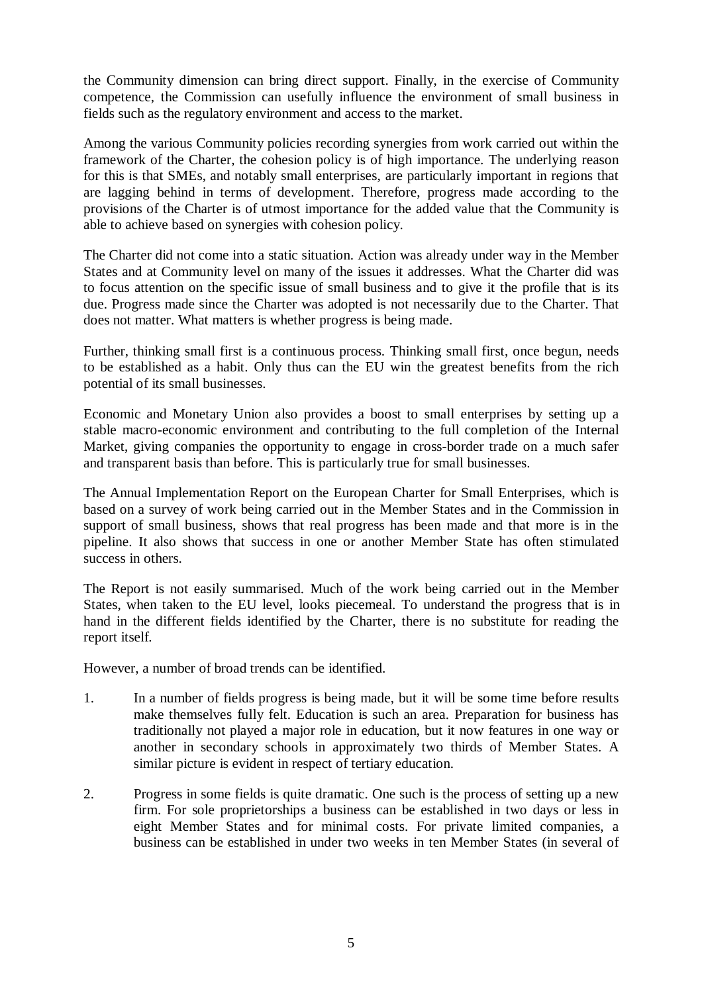the Community dimension can bring direct support. Finally, in the exercise of Community competence, the Commission can usefully influence the environment of small business in fields such as the regulatory environment and access to the market.

Among the various Community policies recording synergies from work carried out within the framework of the Charter, the cohesion policy is of high importance. The underlying reason for this is that SMEs, and notably small enterprises, are particularly important in regions that are lagging behind in terms of development. Therefore, progress made according to the provisions of the Charter is of utmost importance for the added value that the Community is able to achieve based on synergies with cohesion policy.

The Charter did not come into a static situation. Action was already under way in the Member States and at Community level on many of the issues it addresses. What the Charter did was to focus attention on the specific issue of small business and to give it the profile that is its due. Progress made since the Charter was adopted is not necessarily due to the Charter. That does not matter. What matters is whether progress is being made.

Further, thinking small first is a continuous process. Thinking small first, once begun, needs to be established as a habit. Only thus can the EU win the greatest benefits from the rich potential of its small businesses.

Economic and Monetary Union also provides a boost to small enterprises by setting up a stable macro-economic environment and contributing to the full completion of the Internal Market, giving companies the opportunity to engage in cross-border trade on a much safer and transparent basis than before. This is particularly true for small businesses.

The Annual Implementation Report on the European Charter for Small Enterprises, which is based on a survey of work being carried out in the Member States and in the Commission in support of small business, shows that real progress has been made and that more is in the pipeline. It also shows that success in one or another Member State has often stimulated success in others.

The Report is not easily summarised. Much of the work being carried out in the Member States, when taken to the EU level, looks piecemeal. To understand the progress that is in hand in the different fields identified by the Charter, there is no substitute for reading the report itself.

However, a number of broad trends can be identified.

- 1. In a number of fields progress is being made, but it will be some time before results make themselves fully felt. Education is such an area. Preparation for business has traditionally not played a major role in education, but it now features in one way or another in secondary schools in approximately two thirds of Member States. A similar picture is evident in respect of tertiary education.
- 2. Progress in some fields is quite dramatic. One such is the process of setting up a new firm. For sole proprietorships a business can be established in two days or less in eight Member States and for minimal costs. For private limited companies, a business can be established in under two weeks in ten Member States (in several of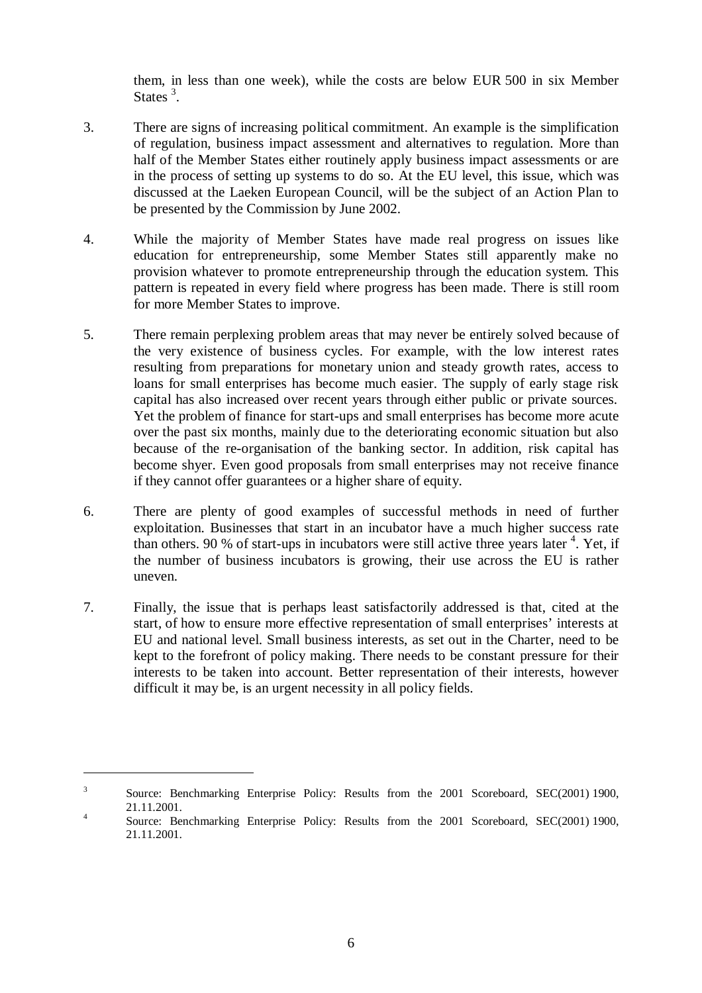them, in less than one week), while the costs are below EUR 500 in six Member States  $3$ .

- 3. There are signs of increasing political commitment. An example is the simplification of regulation, business impact assessment and alternatives to regulation. More than half of the Member States either routinely apply business impact assessments or are in the process of setting up systems to do so. At the EU level, this issue, which was discussed at the Laeken European Council, will be the subject of an Action Plan to be presented by the Commission by June 2002.
- 4. While the majority of Member States have made real progress on issues like education for entrepreneurship, some Member States still apparently make no provision whatever to promote entrepreneurship through the education system. This pattern is repeated in every field where progress has been made. There is still room for more Member States to improve.
- 5. There remain perplexing problem areas that may never be entirely solved because of the very existence of business cycles. For example, with the low interest rates resulting from preparations for monetary union and steady growth rates, access to loans for small enterprises has become much easier. The supply of early stage risk capital has also increased over recent years through either public or private sources. Yet the problem of finance for start-ups and small enterprises has become more acute over the past six months, mainly due to the deteriorating economic situation but also because of the re-organisation of the banking sector. In addition, risk capital has become shyer. Even good proposals from small enterprises may not receive finance if they cannot offer guarantees or a higher share of equity.
- 6. There are plenty of good examples of successful methods in need of further exploitation. Businesses that start in an incubator have a much higher success rate than others. 90 % of start-ups in incubators were still active three years later  $4$ . Yet, if the number of business incubators is growing, their use across the EU is rather uneven.
- 7. Finally, the issue that is perhaps least satisfactorily addressed is that, cited at the start, of how to ensure more effective representation of small enterprises' interests at EU and national level. Small business interests, as set out in the Charter, need to be kept to the forefront of policy making. There needs to be constant pressure for their interests to be taken into account. Better representation of their interests, however difficult it may be, is an urgent necessity in all policy fields.

<sup>&</sup>lt;sup>3</sup> Source: Benchmarking Enterprise Policy: Results from the 2001 Scoreboard, SEC(2001) 1900, 21.11.2001.<br>4 Source: Benchmarking Enterprise Policy: Results from the 2001 Scoreboard, SEC(2001) 1900,

<sup>21.11.2001.</sup>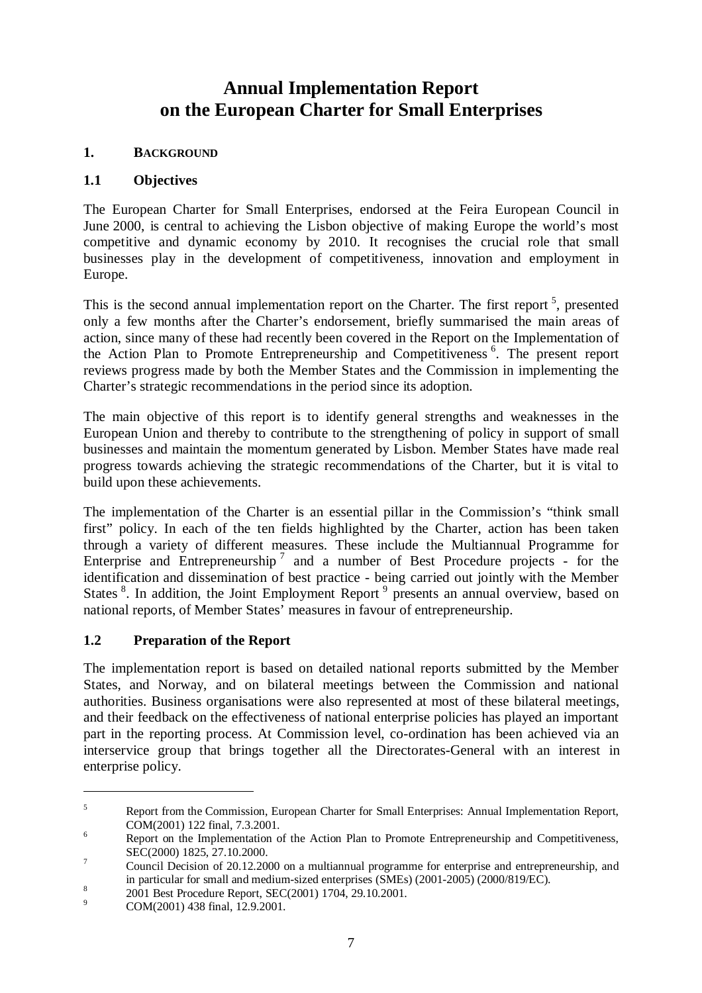# **Annual Implementation Report on the European Charter for Small Enterprises**

## **1. BACKGROUND**

## **1.1 Objectives**

The European Charter for Small Enterprises, endorsed at the Feira European Council in June 2000, is central to achieving the Lisbon objective of making Europe the world's most competitive and dynamic economy by 2010. It recognises the crucial role that small businesses play in the development of competitiveness, innovation and employment in Europe.

This is the second annual implementation report on the Charter. The first report<sup>5</sup>, presented only a few months after the Charter's endorsement, briefly summarised the main areas of action, since many of these had recently been covered in the Report on the Implementation of the Action Plan to Promote Entrepreneurship and Competitiveness<sup>6</sup>. The present report reviews progress made by both the Member States and the Commission in implementing the Charter's strategic recommendations in the period since its adoption.

The main objective of this report is to identify general strengths and weaknesses in the European Union and thereby to contribute to the strengthening of policy in support of small businesses and maintain the momentum generated by Lisbon. Member States have made real progress towards achieving the strategic recommendations of the Charter, but it is vital to build upon these achievements.

The implementation of the Charter is an essential pillar in the Commission's "think small first" policy. In each of the ten fields highlighted by the Charter, action has been taken through a variety of different measures. These include the Multiannual Programme for Enterprise and Entrepreneurship <sup>7</sup> and a number of Best Procedure projects - for the identification and dissemination of best practice - being carried out jointly with the Member States <sup>8</sup>. In addition, the Joint Employment Report <sup>9</sup> presents an annual overview, based on national reports, of Member States' measures in favour of entrepreneurship.

# **1.2 Preparation of the Report**

The implementation report is based on detailed national reports submitted by the Member States, and Norway, and on bilateral meetings between the Commission and national authorities. Business organisations were also represented at most of these bilateral meetings, and their feedback on the effectiveness of national enterprise policies has played an important part in the reporting process. At Commission level, co-ordination has been achieved via an interservice group that brings together all the Directorates-General with an interest in enterprise policy.

 $5$  Report from the Commission, European Charter for Small Enterprises: Annual Implementation Report, COM(2001) 122 final, 7.3.2001. <sup>6</sup> Report on the Implementation of the Action Plan to Promote Entrepreneurship and Competitiveness,

SEC(2000) 1825, 27.10.2000.<br><sup>7</sup> Council Decision of 20.12.2000 on a multiannual programme for enterprise and entrepreneurship, and

in particular for small and medium-sized enterprises (SMEs) (2001-2005) (2000/819/EC).<br><sup>8</sup> 2001 Best Procedure Report, SEC(2001) 1704, 29.10.2001.<br>COM(2001) 438 final, 12.9.2001.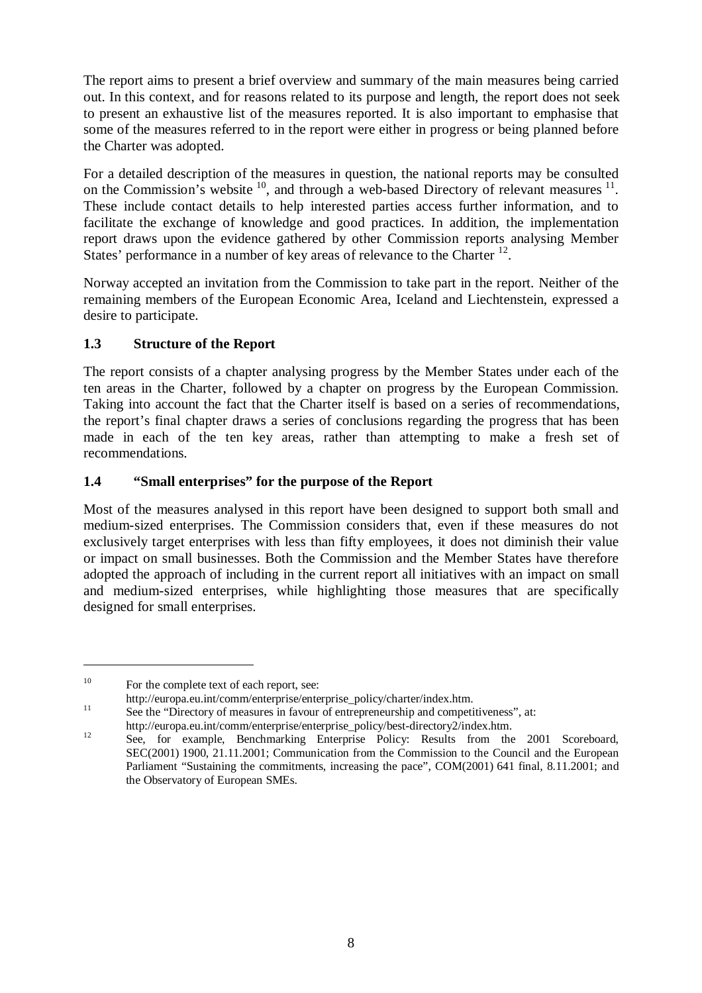The report aims to present a brief overview and summary of the main measures being carried out. In this context, and for reasons related to its purpose and length, the report does not seek to present an exhaustive list of the measures reported. It is also important to emphasise that some of the measures referred to in the report were either in progress or being planned before the Charter was adopted.

For a detailed description of the measures in question, the national reports may be consulted on the Commission's website  $^{10}$ , and through a web-based Directory of relevant measures  $^{11}$ . These include contact details to help interested parties access further information, and to facilitate the exchange of knowledge and good practices. In addition, the implementation report draws upon the evidence gathered by other Commission reports analysing Member States' performance in a number of key areas of relevance to the Charter <sup>12</sup>.

Norway accepted an invitation from the Commission to take part in the report. Neither of the remaining members of the European Economic Area, Iceland and Liechtenstein, expressed a desire to participate.

# **1.3 Structure of the Report**

The report consists of a chapter analysing progress by the Member States under each of the ten areas in the Charter, followed by a chapter on progress by the European Commission. Taking into account the fact that the Charter itself is based on a series of recommendations, the report's final chapter draws a series of conclusions regarding the progress that has been made in each of the ten key areas, rather than attempting to make a fresh set of recommendations.

## **1.4 "Small enterprises" for the purpose of the Report**

Most of the measures analysed in this report have been designed to support both small and medium-sized enterprises. The Commission considers that, even if these measures do not exclusively target enterprises with less than fifty employees, it does not diminish their value or impact on small businesses. Both the Commission and the Member States have therefore adopted the approach of including in the current report all initiatives with an impact on small and medium-sized enterprises, while highlighting those measures that are specifically designed for small enterprises.

<sup>&</sup>lt;sup>10</sup> For the complete text of each report, see:

http://europa.eu.int/comm/enterprise/enterprise\_policy/charter/index.htm.<br>
11 See the "Directory of measures in favour of entrepreneurship and competitiveness", at:

http://europa.eu.int/comm/enterprise/enterprise\_policy/best-directory2/index.htm.<br>
12 See, for example, Benchmarking Enterprise Policy: Results from the 2001 Scoreboard,

SEC(2001) 1900, 21.11.2001; Communication from the Commission to the Council and the European Parliament "Sustaining the commitments, increasing the pace", COM(2001) 641 final, 8.11.2001; and the Observatory of European SMEs.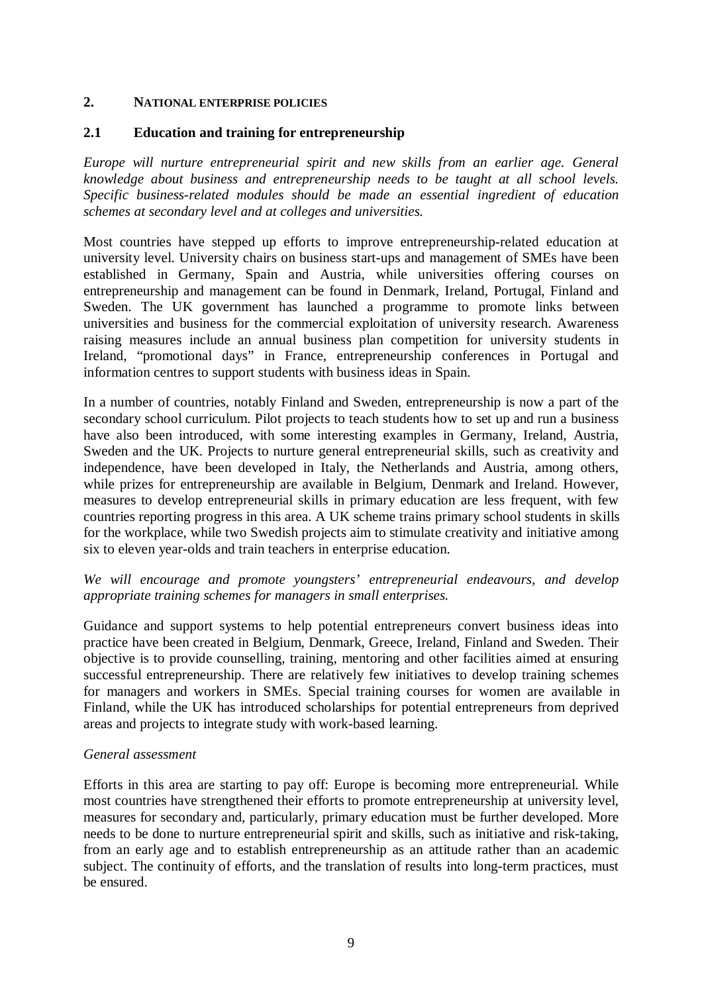#### **2. NATIONAL ENTERPRISE POLICIES**

#### **2.1 Education and training for entrepreneurship**

*Europe will nurture entrepreneurial spirit and new skills from an earlier age. General knowledge about business and entrepreneurship needs to be taught at all school levels. Specific business-related modules should be made an essential ingredient of education schemes at secondary level and at colleges and universities.*

Most countries have stepped up efforts to improve entrepreneurship-related education at university level. University chairs on business start-ups and management of SMEs have been established in Germany, Spain and Austria, while universities offering courses on entrepreneurship and management can be found in Denmark, Ireland, Portugal, Finland and Sweden. The UK government has launched a programme to promote links between universities and business for the commercial exploitation of university research. Awareness raising measures include an annual business plan competition for university students in Ireland, "promotional days" in France, entrepreneurship conferences in Portugal and information centres to support students with business ideas in Spain.

In a number of countries, notably Finland and Sweden, entrepreneurship is now a part of the secondary school curriculum. Pilot projects to teach students how to set up and run a business have also been introduced, with some interesting examples in Germany, Ireland, Austria, Sweden and the UK. Projects to nurture general entrepreneurial skills, such as creativity and independence, have been developed in Italy, the Netherlands and Austria, among others, while prizes for entrepreneurship are available in Belgium, Denmark and Ireland. However, measures to develop entrepreneurial skills in primary education are less frequent, with few countries reporting progress in this area. A UK scheme trains primary school students in skills for the workplace, while two Swedish projects aim to stimulate creativity and initiative among six to eleven year-olds and train teachers in enterprise education.

## *We will encourage and promote youngsters' entrepreneurial endeavours, and develop appropriate training schemes for managers in small enterprises.*

Guidance and support systems to help potential entrepreneurs convert business ideas into practice have been created in Belgium, Denmark, Greece, Ireland, Finland and Sweden. Their objective is to provide counselling, training, mentoring and other facilities aimed at ensuring successful entrepreneurship. There are relatively few initiatives to develop training schemes for managers and workers in SMEs. Special training courses for women are available in Finland, while the UK has introduced scholarships for potential entrepreneurs from deprived areas and projects to integrate study with work-based learning.

#### *General assessment*

Efforts in this area are starting to pay off: Europe is becoming more entrepreneurial. While most countries have strengthened their efforts to promote entrepreneurship at university level, measures for secondary and, particularly, primary education must be further developed. More needs to be done to nurture entrepreneurial spirit and skills, such as initiative and risk-taking, from an early age and to establish entrepreneurship as an attitude rather than an academic subject. The continuity of efforts, and the translation of results into long-term practices, must be ensured.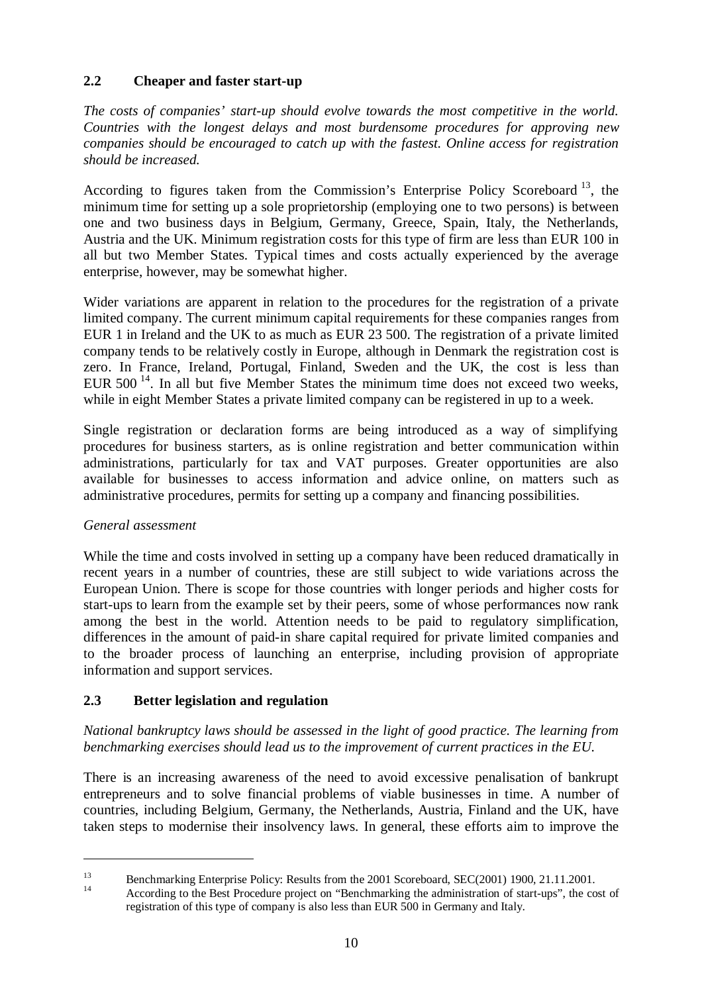## **2.2 Cheaper and faster start-up**

*The costs of companies' start-up should evolve towards the most competitive in the world. Countries with the longest delays and most burdensome procedures for approving new companies should be encouraged to catch up with the fastest. Online access for registration should be increased.*

According to figures taken from the Commission's Enterprise Policy Scoreboard<sup>13</sup>, the minimum time for setting up a sole proprietorship (employing one to two persons) is between one and two business days in Belgium, Germany, Greece, Spain, Italy, the Netherlands, Austria and the UK. Minimum registration costs for this type of firm are less than EUR 100 in all but two Member States. Typical times and costs actually experienced by the average enterprise, however, may be somewhat higher.

Wider variations are apparent in relation to the procedures for the registration of a private limited company. The current minimum capital requirements for these companies ranges from EUR 1 in Ireland and the UK to as much as EUR 23 500. The registration of a private limited company tends to be relatively costly in Europe, although in Denmark the registration cost is zero. In France, Ireland, Portugal, Finland, Sweden and the UK, the cost is less than EUR  $500^{-14}$ . In all but five Member States the minimum time does not exceed two weeks, while in eight Member States a private limited company can be registered in up to a week.

Single registration or declaration forms are being introduced as a way of simplifying procedures for business starters, as is online registration and better communication within administrations, particularly for tax and VAT purposes. Greater opportunities are also available for businesses to access information and advice online, on matters such as administrative procedures, permits for setting up a company and financing possibilities.

#### *General assessment*

While the time and costs involved in setting up a company have been reduced dramatically in recent years in a number of countries, these are still subject to wide variations across the European Union. There is scope for those countries with longer periods and higher costs for start-ups to learn from the example set by their peers, some of whose performances now rank among the best in the world. Attention needs to be paid to regulatory simplification, differences in the amount of paid-in share capital required for private limited companies and to the broader process of launching an enterprise, including provision of appropriate information and support services.

## **2.3 Better legislation and regulation**

*National bankruptcy laws should be assessed in the light of good practice. The learning from benchmarking exercises should lead us to the improvement of current practices in the EU.*

There is an increasing awareness of the need to avoid excessive penalisation of bankrupt entrepreneurs and to solve financial problems of viable businesses in time. A number of countries, including Belgium, Germany, the Netherlands, Austria, Finland and the UK, have taken steps to modernise their insolvency laws. In general, these efforts aim to improve the

<sup>&</sup>lt;sup>13</sup><br>Benchmarking Enterprise Policy: Results from the 2001 Scoreboard, SEC(2001) 1900, 21.11.2001.<br>According to the Best Procedure project on "Benchmarking the administration of start-ups", the cost of registration of this type of company is also less than EUR 500 in Germany and Italy.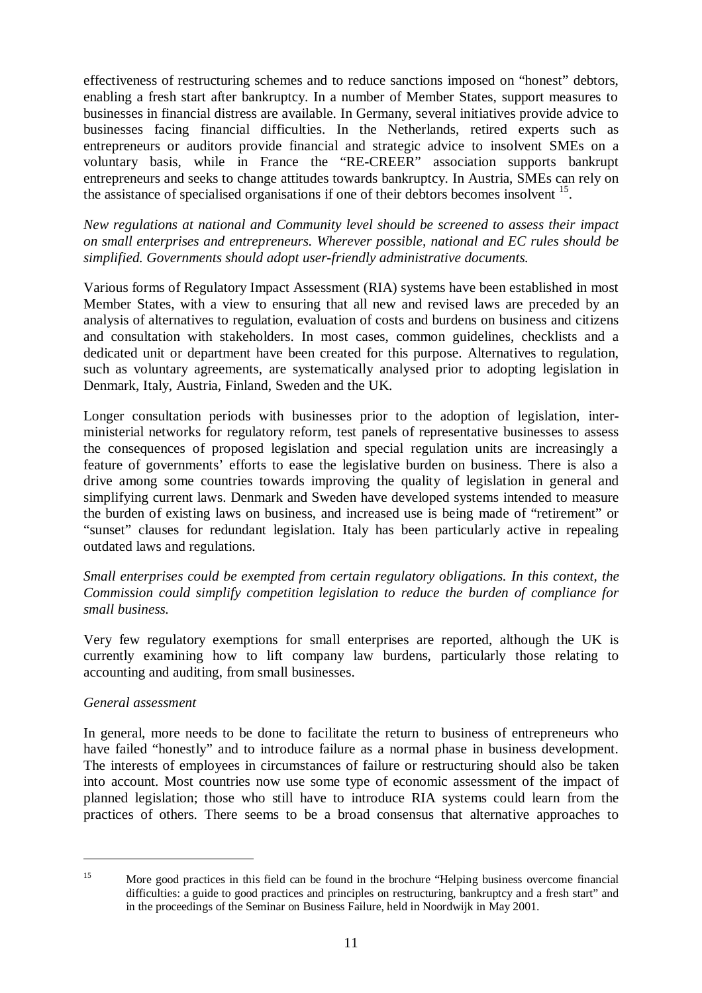effectiveness of restructuring schemes and to reduce sanctions imposed on "honest" debtors, enabling a fresh start after bankruptcy. In a number of Member States, support measures to businesses in financial distress are available. In Germany, several initiatives provide advice to businesses facing financial difficulties. In the Netherlands, retired experts such as entrepreneurs or auditors provide financial and strategic advice to insolvent SMEs on a voluntary basis, while in France the "RE-CREER" association supports bankrupt entrepreneurs and seeks to change attitudes towards bankruptcy. In Austria, SMEs can rely on the assistance of specialised organisations if one of their debtors becomes insolvent <sup>15</sup>.

*New regulations at national and Community level should be screened to assess their impact on small enterprises and entrepreneurs. Wherever possible, national and EC rules should be simplified. Governments should adopt user-friendly administrative documents.*

Various forms of Regulatory Impact Assessment (RIA) systems have been established in most Member States, with a view to ensuring that all new and revised laws are preceded by an analysis of alternatives to regulation, evaluation of costs and burdens on business and citizens and consultation with stakeholders. In most cases, common guidelines, checklists and a dedicated unit or department have been created for this purpose. Alternatives to regulation, such as voluntary agreements, are systematically analysed prior to adopting legislation in Denmark, Italy, Austria, Finland, Sweden and the UK.

Longer consultation periods with businesses prior to the adoption of legislation, interministerial networks for regulatory reform, test panels of representative businesses to assess the consequences of proposed legislation and special regulation units are increasingly a feature of governments' efforts to ease the legislative burden on business. There is also a drive among some countries towards improving the quality of legislation in general and simplifying current laws. Denmark and Sweden have developed systems intended to measure the burden of existing laws on business, and increased use is being made of "retirement" or "sunset" clauses for redundant legislation. Italy has been particularly active in repealing outdated laws and regulations.

*Small enterprises could be exempted from certain regulatory obligations. In this context, the Commission could simplify competition legislation to reduce the burden of compliance for small business.*

Very few regulatory exemptions for small enterprises are reported, although the UK is currently examining how to lift company law burdens, particularly those relating to accounting and auditing, from small businesses.

## *General assessment*

In general, more needs to be done to facilitate the return to business of entrepreneurs who have failed "honestly" and to introduce failure as a normal phase in business development. The interests of employees in circumstances of failure or restructuring should also be taken into account. Most countries now use some type of economic assessment of the impact of planned legislation; those who still have to introduce RIA systems could learn from the practices of others. There seems to be a broad consensus that alternative approaches to

<sup>&</sup>lt;sup>15</sup> More good practices in this field can be found in the brochure "Helping business overcome financial difficulties: a guide to good practices and principles on restructuring, bankruptcy and a fresh start" and in the proceedings of the Seminar on Business Failure, held in Noordwijk in May 2001.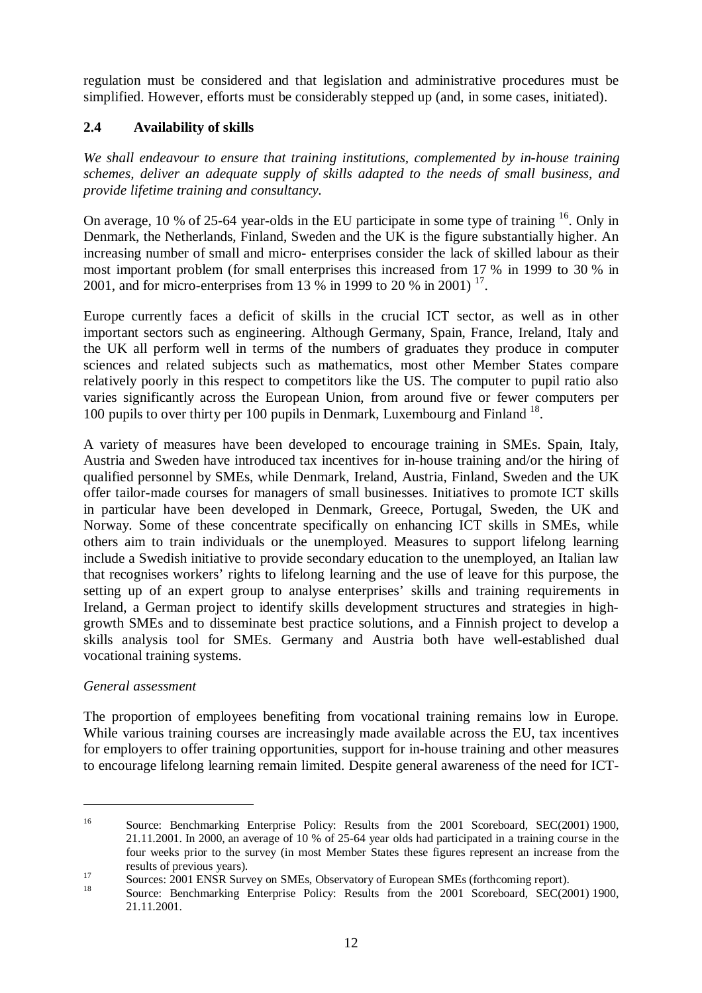regulation must be considered and that legislation and administrative procedures must be simplified. However, efforts must be considerably stepped up (and, in some cases, initiated).

# **2.4 Availability of skills**

*We shall endeavour to ensure that training institutions, complemented by in-house training schemes, deliver an adequate supply of skills adapted to the needs of small business, and provide lifetime training and consultancy.*

On average, 10 % of 25-64 year-olds in the EU participate in some type of training  $16$ . Only in Denmark, the Netherlands, Finland, Sweden and the UK is the figure substantially higher. An increasing number of small and micro- enterprises consider the lack of skilled labour as their most important problem (for small enterprises this increased from 17 % in 1999 to 30 % in 2001, and for micro-enterprises from 13  $\frac{6}{9}$  in 1999 to 20 % in 2001)<sup>17</sup>.

Europe currently faces a deficit of skills in the crucial ICT sector, as well as in other important sectors such as engineering. Although Germany, Spain, France, Ireland, Italy and the UK all perform well in terms of the numbers of graduates they produce in computer sciences and related subjects such as mathematics, most other Member States compare relatively poorly in this respect to competitors like the US. The computer to pupil ratio also varies significantly across the European Union, from around five or fewer computers per 100 pupils to over thirty per 100 pupils in Denmark, Luxembourg and Finland <sup>18</sup>.

A variety of measures have been developed to encourage training in SMEs. Spain, Italy, Austria and Sweden have introduced tax incentives for in-house training and/or the hiring of qualified personnel by SMEs, while Denmark, Ireland, Austria, Finland, Sweden and the UK offer tailor-made courses for managers of small businesses. Initiatives to promote ICT skills in particular have been developed in Denmark, Greece, Portugal, Sweden, the UK and Norway. Some of these concentrate specifically on enhancing ICT skills in SMEs, while others aim to train individuals or the unemployed. Measures to support lifelong learning include a Swedish initiative to provide secondary education to the unemployed, an Italian law that recognises workers' rights to lifelong learning and the use of leave for this purpose, the setting up of an expert group to analyse enterprises' skills and training requirements in Ireland, a German project to identify skills development structures and strategies in highgrowth SMEs and to disseminate best practice solutions, and a Finnish project to develop a skills analysis tool for SMEs. Germany and Austria both have well-established dual vocational training systems.

## *General assessment*

The proportion of employees benefiting from vocational training remains low in Europe. While various training courses are increasingly made available across the EU, tax incentives for employers to offer training opportunities, support for in-house training and other measures to encourage lifelong learning remain limited. Despite general awareness of the need for ICT-

<sup>&</sup>lt;sup>16</sup> Source: Benchmarking Enterprise Policy: Results from the 2001 Scoreboard, SEC(2001) 1900, 21.11.2001. In 2000, an average of 10 % of 25-64 year olds had participated in a training course in the four weeks prior to the survey (in most Member States these figures represent an increase from the

results of previous years).<br>
17 Sources: 2001 ENSR Survey on SMEs, Observatory of European SMEs (forthcoming report).<br>
18 Source: Benchmarking Enterprise Policy: Results from the 2001 Scoreboard, SEC(2001) 1900, 21.11.2001.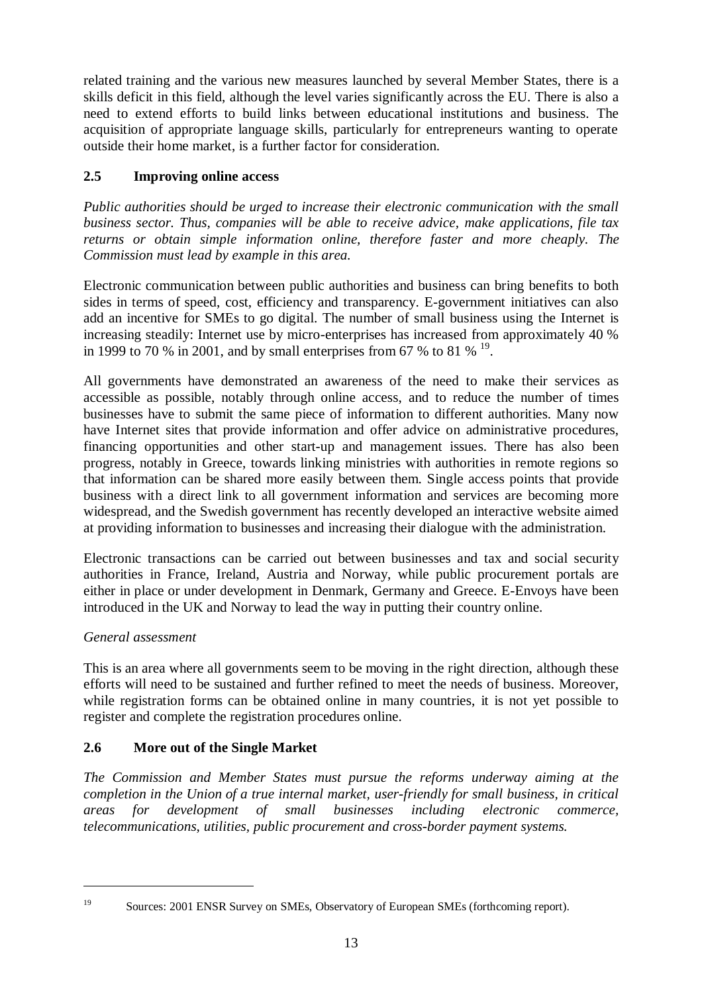related training and the various new measures launched by several Member States, there is a skills deficit in this field, although the level varies significantly across the EU. There is also a need to extend efforts to build links between educational institutions and business. The acquisition of appropriate language skills, particularly for entrepreneurs wanting to operate outside their home market, is a further factor for consideration.

# **2.5 Improving online access**

*Public authorities should be urged to increase their electronic communication with the small business sector. Thus, companies will be able to receive advice, make applications, file tax returns or obtain simple information online, therefore faster and more cheaply. The Commission must lead by example in this area.*

Electronic communication between public authorities and business can bring benefits to both sides in terms of speed, cost, efficiency and transparency. E-government initiatives can also add an incentive for SMEs to go digital. The number of small business using the Internet is increasing steadily: Internet use by micro-enterprises has increased from approximately 40 % in 1999 to 70 % in 2001, and by small enterprises from 67 % to 81 %  $^{19}$ .

All governments have demonstrated an awareness of the need to make their services as accessible as possible, notably through online access, and to reduce the number of times businesses have to submit the same piece of information to different authorities. Many now have Internet sites that provide information and offer advice on administrative procedures, financing opportunities and other start-up and management issues. There has also been progress, notably in Greece, towards linking ministries with authorities in remote regions so that information can be shared more easily between them. Single access points that provide business with a direct link to all government information and services are becoming more widespread, and the Swedish government has recently developed an interactive website aimed at providing information to businesses and increasing their dialogue with the administration.

Electronic transactions can be carried out between businesses and tax and social security authorities in France, Ireland, Austria and Norway, while public procurement portals are either in place or under development in Denmark, Germany and Greece. E-Envoys have been introduced in the UK and Norway to lead the way in putting their country online.

# *General assessment*

This is an area where all governments seem to be moving in the right direction, although these efforts will need to be sustained and further refined to meet the needs of business. Moreover, while registration forms can be obtained online in many countries, it is not yet possible to register and complete the registration procedures online.

# **2.6 More out of the Single Market**

*The Commission and Member States must pursue the reforms underway aiming at the completion in the Union of a true internal market, user-friendly for small business, in critical areas for development of small businesses including electronic commerce, telecommunications, utilities, public procurement and cross-border payment systems.*

<sup>&</sup>lt;sup>19</sup> Sources: 2001 ENSR Survey on SMEs, Observatory of European SMEs (forthcoming report).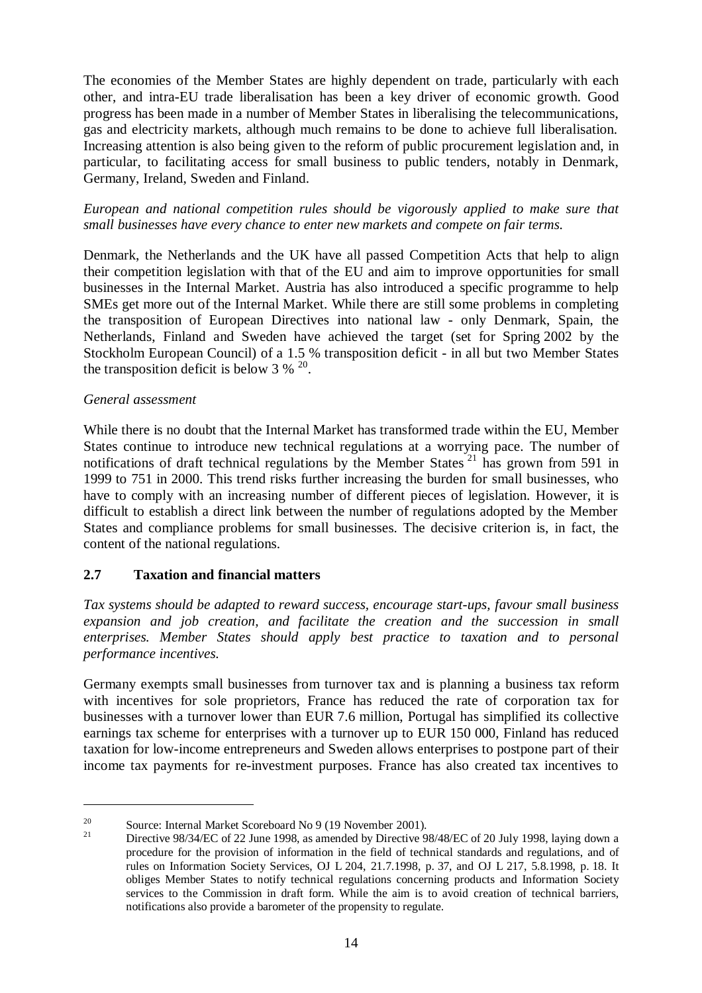The economies of the Member States are highly dependent on trade, particularly with each other, and intra-EU trade liberalisation has been a key driver of economic growth. Good progress has been made in a number of Member States in liberalising the telecommunications, gas and electricity markets, although much remains to be done to achieve full liberalisation. Increasing attention is also being given to the reform of public procurement legislation and, in particular, to facilitating access for small business to public tenders, notably in Denmark, Germany, Ireland, Sweden and Finland.

*European and national competition rules should be vigorously applied to make sure that small businesses have every chance to enter new markets and compete on fair terms.*

Denmark, the Netherlands and the UK have all passed Competition Acts that help to align their competition legislation with that of the EU and aim to improve opportunities for small businesses in the Internal Market. Austria has also introduced a specific programme to help SMEs get more out of the Internal Market. While there are still some problems in completing the transposition of European Directives into national law - only Denmark, Spain, the Netherlands, Finland and Sweden have achieved the target (set for Spring 2002 by the Stockholm European Council) of a 1.5 % transposition deficit - in all but two Member States the transposition deficit is below  $3 \%$   $^{20}$ .

#### *General assessment*

While there is no doubt that the Internal Market has transformed trade within the EU, Member States continue to introduce new technical regulations at a worrying pace. The number of notifications of draft technical regulations by the Member States<sup>21</sup> has grown from 591 in 1999 to 751 in 2000. This trend risks further increasing the burden for small businesses, who have to comply with an increasing number of different pieces of legislation. However, it is difficult to establish a direct link between the number of regulations adopted by the Member States and compliance problems for small businesses. The decisive criterion is, in fact, the content of the national regulations.

## **2.7 Taxation and financial matters**

*Tax systems should be adapted to reward success, encourage start-ups, favour small business expansion and job creation, and facilitate the creation and the succession in small enterprises. Member States should apply best practice to taxation and to personal performance incentives.*

Germany exempts small businesses from turnover tax and is planning a business tax reform with incentives for sole proprietors, France has reduced the rate of corporation tax for businesses with a turnover lower than EUR 7.6 million, Portugal has simplified its collective earnings tax scheme for enterprises with a turnover up to EUR 150 000, Finland has reduced taxation for low-income entrepreneurs and Sweden allows enterprises to postpone part of their income tax payments for re-investment purposes. France has also created tax incentives to

<sup>&</sup>lt;sup>20</sup> Source: Internal Market Scoreboard No 9 (19 November 2001).<br><sup>21</sup> Directive 98/34/EC of 22 June 1998, as amended by Directive 98/48/EC of 20 July 1998, laying down a procedure for the provision of information in the field of technical standards and regulations, and of rules on Information Society Services, OJ L 204, 21.7.1998, p. 37, and OJ L 217, 5.8.1998, p. 18. It obliges Member States to notify technical regulations concerning products and Information Society services to the Commission in draft form. While the aim is to avoid creation of technical barriers, notifications also provide a barometer of the propensity to regulate.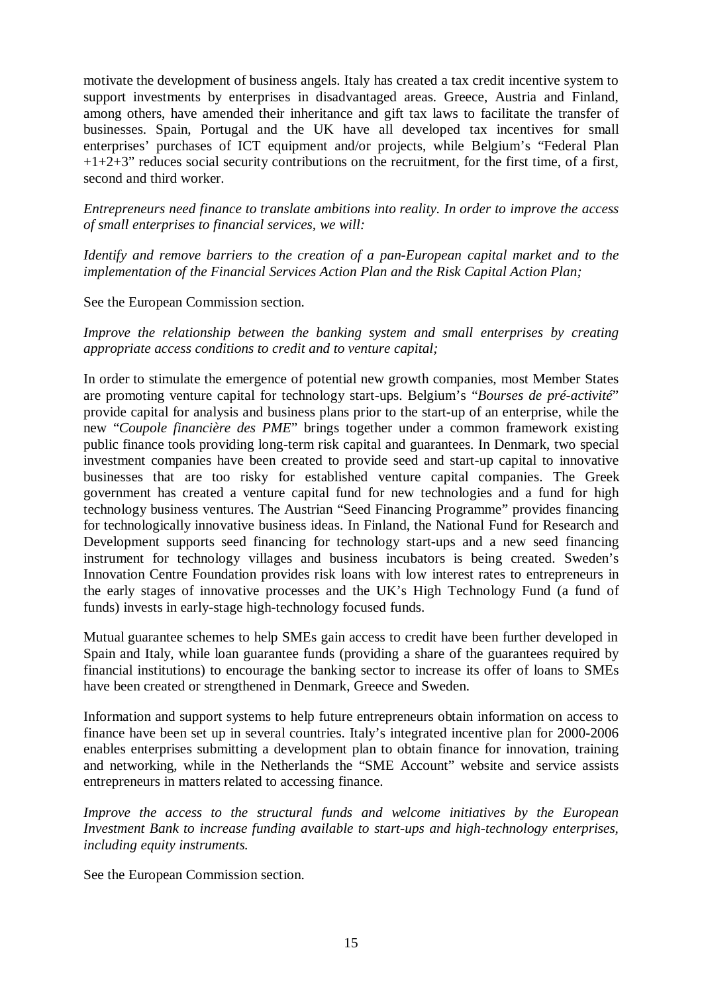motivate the development of business angels. Italy has created a tax credit incentive system to support investments by enterprises in disadvantaged areas. Greece, Austria and Finland, among others, have amended their inheritance and gift tax laws to facilitate the transfer of businesses. Spain, Portugal and the UK have all developed tax incentives for small enterprises' purchases of ICT equipment and/or projects, while Belgium's "Federal Plan  $+1+2+3$ " reduces social security contributions on the recruitment, for the first time, of a first, second and third worker.

*Entrepreneurs need finance to translate ambitions into reality. In order to improve the access of small enterprises to financial services, we will:*

*Identify and remove barriers to the creation of a pan-European capital market and to the implementation of the Financial Services Action Plan and the Risk Capital Action Plan;*

See the European Commission section.

*Improve the relationship between the banking system and small enterprises by creating appropriate access conditions to credit and to venture capital;*

In order to stimulate the emergence of potential new growth companies, most Member States are promoting venture capital for technology start-ups. Belgium's "*Bourses de pré-activité*" provide capital for analysis and business plans prior to the start-up of an enterprise, while the new "*Coupole financière des PME*" brings together under a common framework existing public finance tools providing long-term risk capital and guarantees. In Denmark, two special investment companies have been created to provide seed and start-up capital to innovative businesses that are too risky for established venture capital companies. The Greek government has created a venture capital fund for new technologies and a fund for high technology business ventures. The Austrian "Seed Financing Programme" provides financing for technologically innovative business ideas. In Finland, the National Fund for Research and Development supports seed financing for technology start-ups and a new seed financing instrument for technology villages and business incubators is being created. Sweden's Innovation Centre Foundation provides risk loans with low interest rates to entrepreneurs in the early stages of innovative processes and the UK's High Technology Fund (a fund of funds) invests in early-stage high-technology focused funds.

Mutual guarantee schemes to help SMEs gain access to credit have been further developed in Spain and Italy, while loan guarantee funds (providing a share of the guarantees required by financial institutions) to encourage the banking sector to increase its offer of loans to SMEs have been created or strengthened in Denmark, Greece and Sweden.

Information and support systems to help future entrepreneurs obtain information on access to finance have been set up in several countries. Italy's integrated incentive plan for 2000-2006 enables enterprises submitting a development plan to obtain finance for innovation, training and networking, while in the Netherlands the "SME Account" website and service assists entrepreneurs in matters related to accessing finance.

*Improve the access to the structural funds and welcome initiatives by the European Investment Bank to increase funding available to start-ups and high-technology enterprises, including equity instruments.*

See the European Commission section.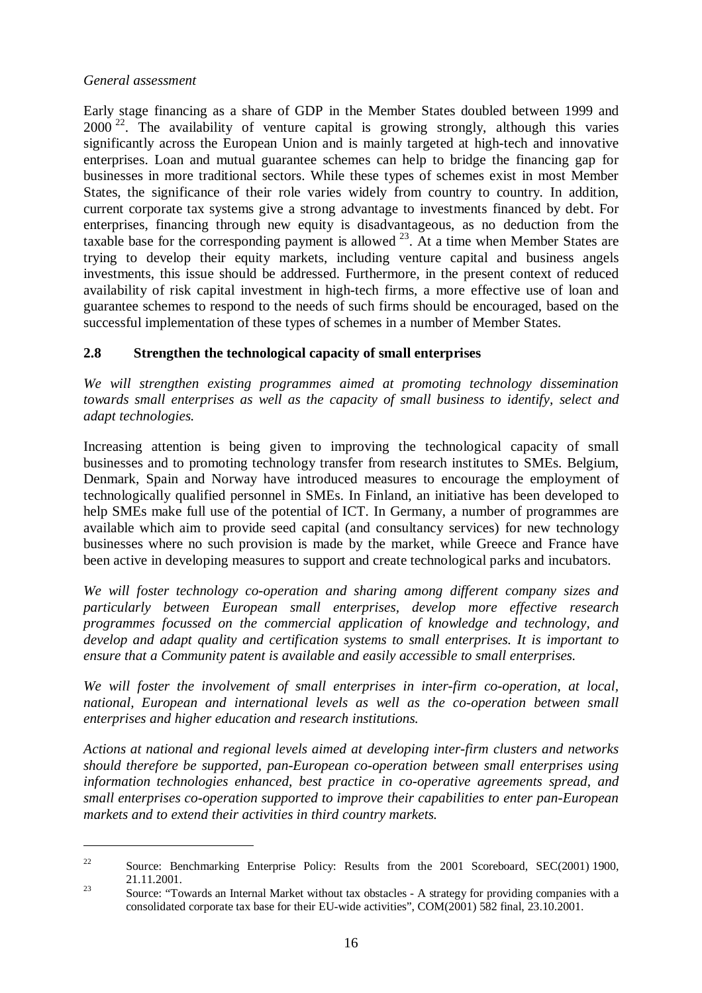Early stage financing as a share of GDP in the Member States doubled between 1999 and  $2000<sup>22</sup>$ . The availability of venture capital is growing strongly, although this varies significantly across the European Union and is mainly targeted at high-tech and innovative enterprises. Loan and mutual guarantee schemes can help to bridge the financing gap for businesses in more traditional sectors. While these types of schemes exist in most Member States, the significance of their role varies widely from country to country. In addition, current corporate tax systems give a strong advantage to investments financed by debt. For enterprises, financing through new equity is disadvantageous, as no deduction from the taxable base for the corresponding payment is allowed  $^{23}$ . At a time when Member States are trying to develop their equity markets, including venture capital and business angels investments, this issue should be addressed. Furthermore, in the present context of reduced availability of risk capital investment in high-tech firms, a more effective use of loan and guarantee schemes to respond to the needs of such firms should be encouraged, based on the successful implementation of these types of schemes in a number of Member States.

## **2.8 Strengthen the technological capacity of small enterprises**

*We will strengthen existing programmes aimed at promoting technology dissemination towards small enterprises as well as the capacity of small business to identify, select and adapt technologies.*

Increasing attention is being given to improving the technological capacity of small businesses and to promoting technology transfer from research institutes to SMEs. Belgium, Denmark, Spain and Norway have introduced measures to encourage the employment of technologically qualified personnel in SMEs. In Finland, an initiative has been developed to help SMEs make full use of the potential of ICT. In Germany, a number of programmes are available which aim to provide seed capital (and consultancy services) for new technology businesses where no such provision is made by the market, while Greece and France have been active in developing measures to support and create technological parks and incubators.

*We will foster technology co-operation and sharing among different company sizes and particularly between European small enterprises, develop more effective research programmes focussed on the commercial application of knowledge and technology, and develop and adapt quality and certification systems to small enterprises. It is important to ensure that a Community patent is available and easily accessible to small enterprises.*

*We will foster the involvement of small enterprises in inter-firm co-operation, at local, national, European and international levels as well as the co-operation between small enterprises and higher education and research institutions.*

*Actions at national and regional levels aimed at developing inter-firm clusters and networks should therefore be supported, pan-European co-operation between small enterprises using information technologies enhanced, best practice in co-operative agreements spread, and small enterprises co-operation supported to improve their capabilities to enter pan-European markets and to extend their activities in third country markets.*

<sup>&</sup>lt;sup>22</sup> Source: Benchmarking Enterprise Policy: Results from the 2001 Scoreboard, SEC(2001) 1900,

<sup>21.11.2001.&</sup>lt;br>
23 Source: "Towards an Internal Market without tax obstacles - A strategy for providing companies with a consolidated corporate tax base for their EU-wide activities", COM(2001) 582 final, 23.10.2001.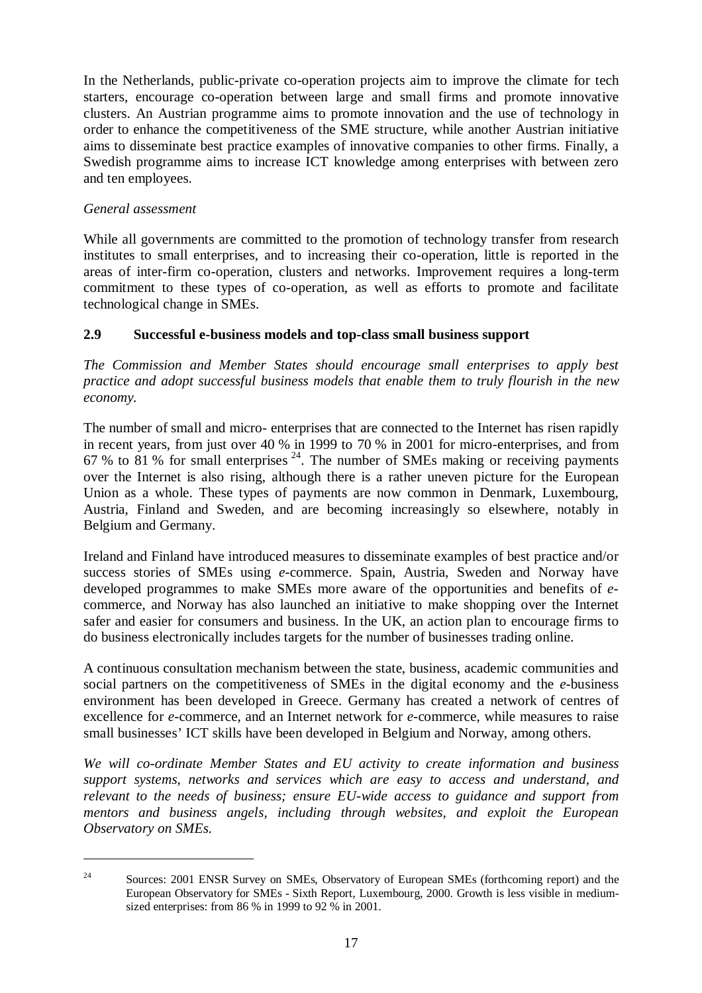In the Netherlands, public-private co-operation projects aim to improve the climate for tech starters, encourage co-operation between large and small firms and promote innovative clusters. An Austrian programme aims to promote innovation and the use of technology in order to enhance the competitiveness of the SME structure, while another Austrian initiative aims to disseminate best practice examples of innovative companies to other firms. Finally, a Swedish programme aims to increase ICT knowledge among enterprises with between zero and ten employees.

## *General assessment*

While all governments are committed to the promotion of technology transfer from research institutes to small enterprises, and to increasing their co-operation, little is reported in the areas of inter-firm co-operation, clusters and networks. Improvement requires a long-term commitment to these types of co-operation, as well as efforts to promote and facilitate technological change in SMEs.

## **2.9 Successful e-business models and top-class small business support**

*The Commission and Member States should encourage small enterprises to apply best practice and adopt successful business models that enable them to truly flourish in the new economy.*

The number of small and micro- enterprises that are connected to the Internet has risen rapidly in recent years, from just over 40 % in 1999 to 70 % in 2001 for micro-enterprises, and from 67 % to 81 % for small enterprises  $24$ . The number of SMEs making or receiving payments over the Internet is also rising, although there is a rather uneven picture for the European Union as a whole. These types of payments are now common in Denmark, Luxembourg, Austria, Finland and Sweden, and are becoming increasingly so elsewhere, notably in Belgium and Germany.

Ireland and Finland have introduced measures to disseminate examples of best practice and/or success stories of SMEs using *e*-commerce. Spain, Austria, Sweden and Norway have developed programmes to make SMEs more aware of the opportunities and benefits of *e*commerce, and Norway has also launched an initiative to make shopping over the Internet safer and easier for consumers and business. In the UK, an action plan to encourage firms to do business electronically includes targets for the number of businesses trading online.

A continuous consultation mechanism between the state, business, academic communities and social partners on the competitiveness of SMEs in the digital economy and the *e*-business environment has been developed in Greece. Germany has created a network of centres of excellence for *e*-commerce, and an Internet network for *e*-commerce, while measures to raise small businesses' ICT skills have been developed in Belgium and Norway, among others.

*We will co-ordinate Member States and EU activity to create information and business support systems, networks and services which are easy to access and understand, and relevant to the needs of business; ensure EU-wide access to guidance and support from mentors and business angels, including through websites, and exploit the European Observatory on SMEs.*

<sup>&</sup>lt;sup>24</sup> Sources: 2001 ENSR Survey on SMEs, Observatory of European SMEs (forthcoming report) and the European Observatory for SMEs - Sixth Report, Luxembourg, 2000. Growth is less visible in mediumsized enterprises: from 86 % in 1999 to 92 % in 2001.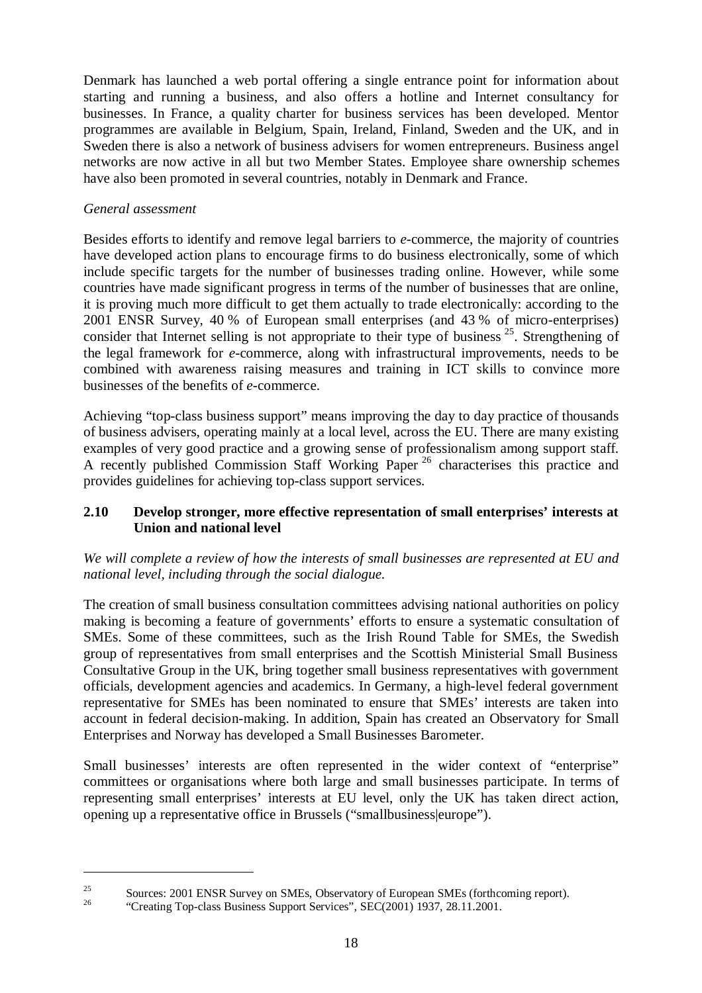Denmark has launched a web portal offering a single entrance point for information about starting and running a business, and also offers a hotline and Internet consultancy for businesses. In France, a quality charter for business services has been developed. Mentor programmes are available in Belgium, Spain, Ireland, Finland, Sweden and the UK, and in Sweden there is also a network of business advisers for women entrepreneurs. Business angel networks are now active in all but two Member States. Employee share ownership schemes have also been promoted in several countries, notably in Denmark and France.

## *General assessment*

Besides efforts to identify and remove legal barriers to *e*-commerce, the majority of countries have developed action plans to encourage firms to do business electronically, some of which include specific targets for the number of businesses trading online. However, while some countries have made significant progress in terms of the number of businesses that are online, it is proving much more difficult to get them actually to trade electronically: according to the 2001 ENSR Survey, 40 % of European small enterprises (and 43 % of micro-enterprises) consider that Internet selling is not appropriate to their type of business  $25$ . Strengthening of the legal framework for *e*-commerce, along with infrastructural improvements, needs to be combined with awareness raising measures and training in ICT skills to convince more businesses of the benefits of *e*-commerce.

Achieving "top-class business support" means improving the day to day practice of thousands of business advisers, operating mainly at a local level, across the EU. There are many existing examples of very good practice and a growing sense of professionalism among support staff. A recently published Commission Staff Working Paper<sup>26</sup> characterises this practice and provides guidelines for achieving top-class support services.

## **2.10 Develop stronger, more effective representation of small enterprises' interests at Union and national level**

## *We will complete a review of how the interests of small businesses are represented at EU and national level, including through the social dialogue.*

The creation of small business consultation committees advising national authorities on policy making is becoming a feature of governments' efforts to ensure a systematic consultation of SMEs. Some of these committees, such as the Irish Round Table for SMEs, the Swedish group of representatives from small enterprises and the Scottish Ministerial Small Business Consultative Group in the UK, bring together small business representatives with government officials, development agencies and academics. In Germany, a high-level federal government representative for SMEs has been nominated to ensure that SMEs' interests are taken into account in federal decision-making. In addition, Spain has created an Observatory for Small Enterprises and Norway has developed a Small Businesses Barometer.

Small businesses' interests are often represented in the wider context of "enterprise" committees or organisations where both large and small businesses participate. In terms of representing small enterprises' interests at EU level, only the UK has taken direct action, opening up a representative office in Brussels ("smallbusiness|europe").

<sup>&</sup>lt;sup>25</sup> Sources: 2001 ENSR Survey on SMEs, Observatory of European SMEs (forthcoming report).<br><sup>26</sup> "Creating Top-class Business Support Services", SEC(2001) 1937, 28.11.2001.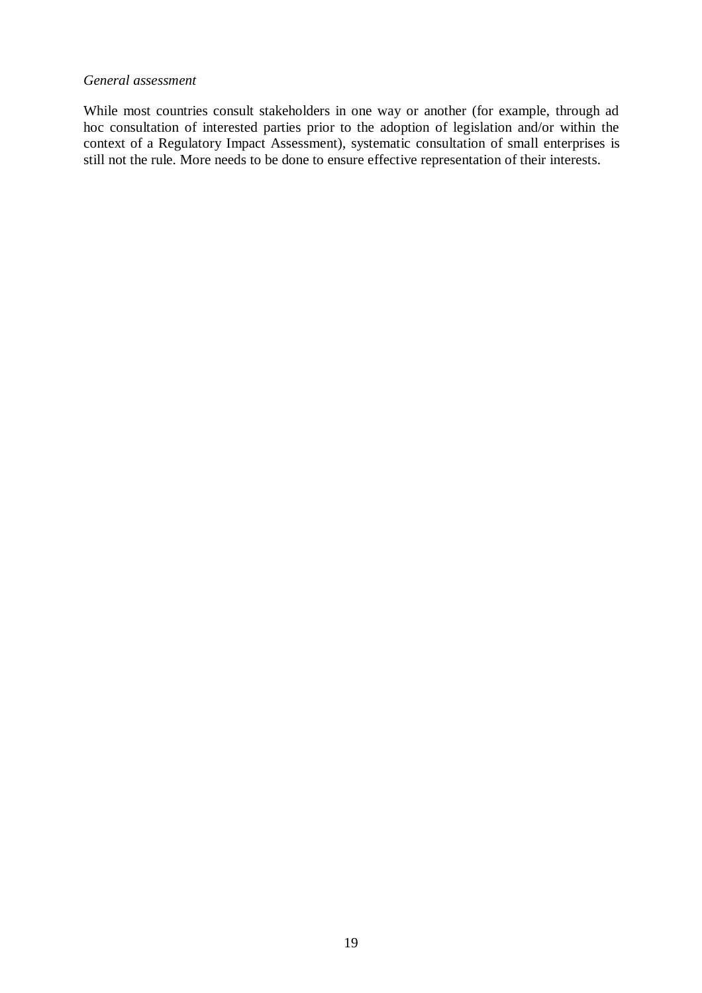#### *General assessment*

While most countries consult stakeholders in one way or another (for example, through ad hoc consultation of interested parties prior to the adoption of legislation and/or within the context of a Regulatory Impact Assessment), systematic consultation of small enterprises is still not the rule. More needs to be done to ensure effective representation of their interests.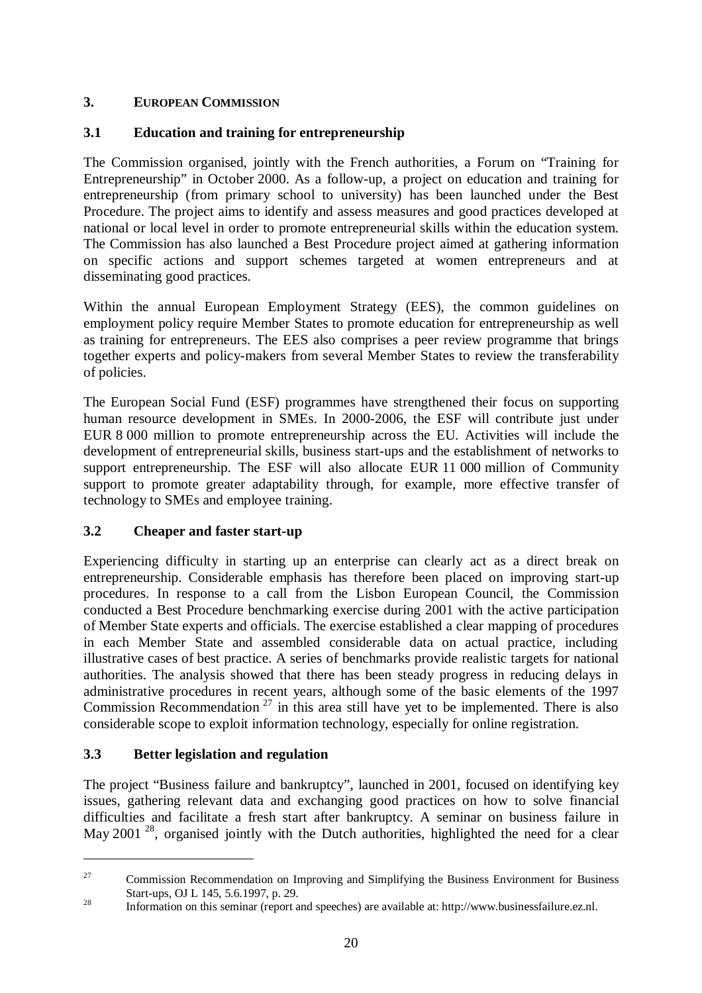# **3. EUROPEAN COMMISSION**

# **3.1 Education and training for entrepreneurship**

The Commission organised, jointly with the French authorities, a Forum on "Training for Entrepreneurship" in October 2000. As a follow-up, a project on education and training for entrepreneurship (from primary school to university) has been launched under the Best Procedure. The project aims to identify and assess measures and good practices developed at national or local level in order to promote entrepreneurial skills within the education system. The Commission has also launched a Best Procedure project aimed at gathering information on specific actions and support schemes targeted at women entrepreneurs and at disseminating good practices.

Within the annual European Employment Strategy (EES), the common guidelines on employment policy require Member States to promote education for entrepreneurship as well as training for entrepreneurs. The EES also comprises a peer review programme that brings together experts and policy-makers from several Member States to review the transferability of policies.

The European Social Fund (ESF) programmes have strengthened their focus on supporting human resource development in SMEs. In 2000-2006, the ESF will contribute just under EUR 8 000 million to promote entrepreneurship across the EU. Activities will include the development of entrepreneurial skills, business start-ups and the establishment of networks to support entrepreneurship. The ESF will also allocate EUR 11 000 million of Community support to promote greater adaptability through, for example, more effective transfer of technology to SMEs and employee training.

# **3.2 Cheaper and faster start-up**

Experiencing difficulty in starting up an enterprise can clearly act as a direct break on entrepreneurship. Considerable emphasis has therefore been placed on improving start-up procedures. In response to a call from the Lisbon European Council, the Commission conducted a Best Procedure benchmarking exercise during 2001 with the active participation of Member State experts and officials. The exercise established a clear mapping of procedures in each Member State and assembled considerable data on actual practice, including illustrative cases of best practice. A series of benchmarks provide realistic targets for national authorities. The analysis showed that there has been steady progress in reducing delays in administrative procedures in recent years, although some of the basic elements of the 1997 Commission Recommendation<sup>27</sup> in this area still have yet to be implemented. There is also considerable scope to exploit information technology, especially for online registration.

## **3.3 Better legislation and regulation**

The project "Business failure and bankruptcy", launched in 2001, focused on identifying key issues, gathering relevant data and exchanging good practices on how to solve financial difficulties and facilitate a fresh start after bankruptcy. A seminar on business failure in May 2001<sup>28</sup>, organised jointly with the Dutch authorities, highlighted the need for a clear

<sup>&</sup>lt;sup>27</sup> Commission Recommendation on Improving and Simplifying the Business Environment for Business Start-ups, OJ L 145, 5.6.1997, p. 29.<br>Information on this seminar (report and speeches) are available at: http://www.businessfailure.ez.nl.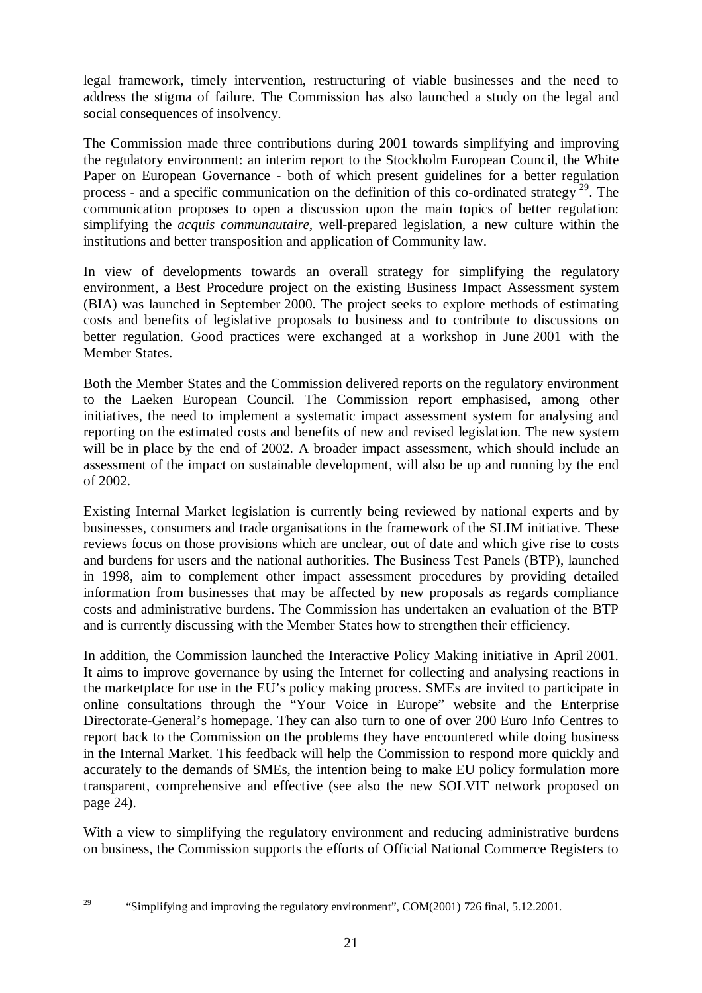legal framework, timely intervention, restructuring of viable businesses and the need to address the stigma of failure. The Commission has also launched a study on the legal and social consequences of insolvency.

The Commission made three contributions during 2001 towards simplifying and improving the regulatory environment: an interim report to the Stockholm European Council, the White Paper on European Governance - both of which present guidelines for a better regulation process - and a specific communication on the definition of this co-ordinated strategy  $^{29}$ . The communication proposes to open a discussion upon the main topics of better regulation: simplifying the *acquis communautaire*, well-prepared legislation, a new culture within the institutions and better transposition and application of Community law.

In view of developments towards an overall strategy for simplifying the regulatory environment, a Best Procedure project on the existing Business Impact Assessment system (BIA) was launched in September 2000. The project seeks to explore methods of estimating costs and benefits of legislative proposals to business and to contribute to discussions on better regulation. Good practices were exchanged at a workshop in June 2001 with the Member States.

Both the Member States and the Commission delivered reports on the regulatory environment to the Laeken European Council. The Commission report emphasised, among other initiatives, the need to implement a systematic impact assessment system for analysing and reporting on the estimated costs and benefits of new and revised legislation. The new system will be in place by the end of 2002. A broader impact assessment, which should include an assessment of the impact on sustainable development, will also be up and running by the end of 2002.

Existing Internal Market legislation is currently being reviewed by national experts and by businesses, consumers and trade organisations in the framework of the SLIM initiative. These reviews focus on those provisions which are unclear, out of date and which give rise to costs and burdens for users and the national authorities. The Business Test Panels (BTP), launched in 1998, aim to complement other impact assessment procedures by providing detailed information from businesses that may be affected by new proposals as regards compliance costs and administrative burdens. The Commission has undertaken an evaluation of the BTP and is currently discussing with the Member States how to strengthen their efficiency.

In addition, the Commission launched the Interactive Policy Making initiative in April 2001. It aims to improve governance by using the Internet for collecting and analysing reactions in the marketplace for use in the EU's policy making process. SMEs are invited to participate in online consultations through the "Your Voice in Europe" website and the Enterprise Directorate-General's homepage. They can also turn to one of over 200 Euro Info Centres to report back to the Commission on the problems they have encountered while doing business in the Internal Market. This feedback will help the Commission to respond more quickly and accurately to the demands of SMEs, the intention being to make EU policy formulation more transparent, comprehensive and effective (see also the new SOLVIT network proposed on page 24).

With a view to simplifying the regulatory environment and reducing administrative burdens on business, the Commission supports the efforts of Official National Commerce Registers to

<sup>&</sup>lt;sup>29</sup> "Simplifying and improving the regulatory environment", COM(2001) 726 final, 5.12.2001.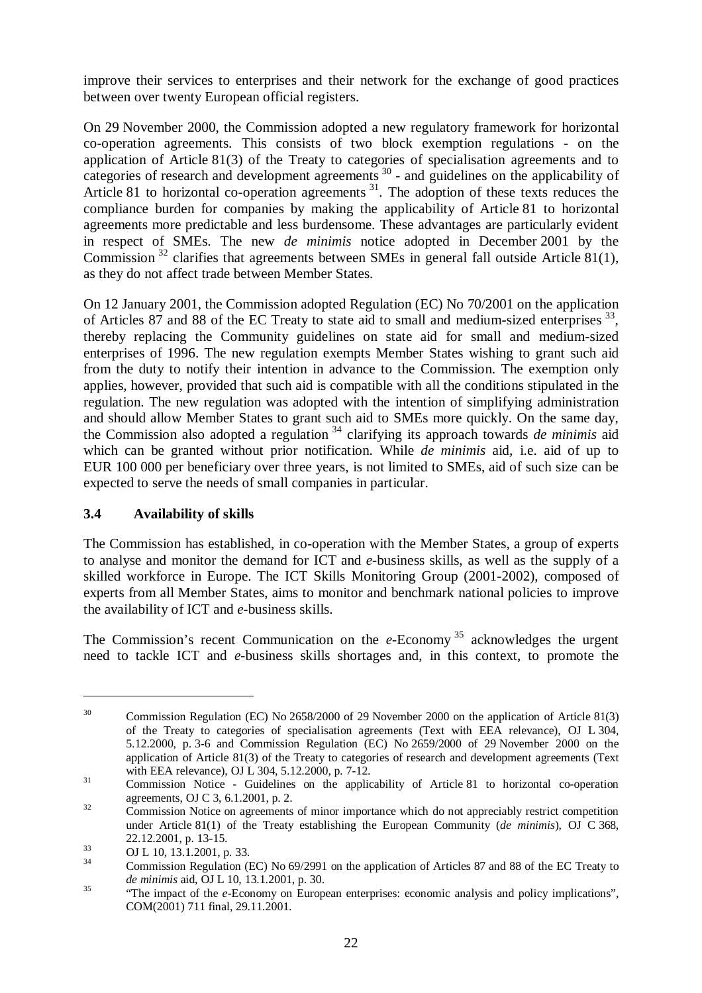improve their services to enterprises and their network for the exchange of good practices between over twenty European official registers.

On 29 November 2000, the Commission adopted a new regulatory framework for horizontal co-operation agreements. This consists of two block exemption regulations - on the application of Article 81(3) of the Treaty to categories of specialisation agreements and to categories of research and development agreements  $30$  - and guidelines on the applicability of Article 81 to horizontal co-operation agreements  $31$ . The adoption of these texts reduces the compliance burden for companies by making the applicability of Article 81 to horizontal agreements more predictable and less burdensome. These advantages are particularly evident in respect of SMEs. The new *de minimis* notice adopted in December 2001 by the Commission<sup>32</sup> clarifies that agreements between SMEs in general fall outside Article 81(1), as they do not affect trade between Member States.

On 12 January 2001, the Commission adopted Regulation (EC) No 70/2001 on the application of Articles 87 and 88 of the EC Treaty to state aid to small and medium-sized enterprises <sup>33</sup>, thereby replacing the Community guidelines on state aid for small and medium-sized enterprises of 1996. The new regulation exempts Member States wishing to grant such aid from the duty to notify their intention in advance to the Commission. The exemption only applies, however, provided that such aid is compatible with all the conditions stipulated in the regulation. The new regulation was adopted with the intention of simplifying administration and should allow Member States to grant such aid to SMEs more quickly. On the same day, the Commission also adopted a regulation <sup>34</sup> clarifying its approach towards *de minimis* aid which can be granted without prior notification. While *de minimis* aid, i.e. aid of up to EUR 100 000 per beneficiary over three years, is not limited to SMEs, aid of such size can be expected to serve the needs of small companies in particular.

## **3.4 Availability of skills**

The Commission has established, in co-operation with the Member States, a group of experts to analyse and monitor the demand for ICT and *e*-business skills, as well as the supply of a skilled workforce in Europe. The ICT Skills Monitoring Group (2001-2002), composed of experts from all Member States, aims to monitor and benchmark national policies to improve the availability of ICT and *e*-business skills.

The Commission's recent Communication on the  $e$ -Economy<sup>35</sup> acknowledges the urgent need to tackle ICT and *e*-business skills shortages and, in this context, to promote the

<sup>&</sup>lt;sup>30</sup> Commission Regulation (EC) No 2658/2000 of 29 November 2000 on the application of Article 81(3) of the Treaty to categories of specialisation agreements (Text with EEA relevance), OJ L 304, 5.12.2000, p. 3-6 and Commission Regulation (EC) No 2659/2000 of 29 November 2000 on the application of Article 81(3) of the Treaty to categories of research and development agreements (Text

with EEA relevance), OJ L 304, 5.12.2000, p. 7-12.<br>
Commission Notice - Guidelines on the applicability of Article 81 to horizontal co-operation agreements, OJ C 3, 6.1.2001, p. 2.<br>Commission Notice on agreements of minor importance which do not appreciably restrict competition

under Article 81(1) of the Treaty establishing the European Community (*de minimis*), OJ C 368,

<sup>22.12.2001,</sup> p. 13-15.<br>33 OJ L 10, 13.1.2001, p. 33.<br>24 Commission Regulation (EC) No 69/2991 on the application of Articles 87 and 88 of the EC Treaty to

*de minimis* aid, OJ L 10, 13.1.2001, p. 30.<br><sup>35</sup> "The impact of the *e*-Economy on European enterprises: economic analysis and policy implications", COM(2001) 711 final, 29.11.2001.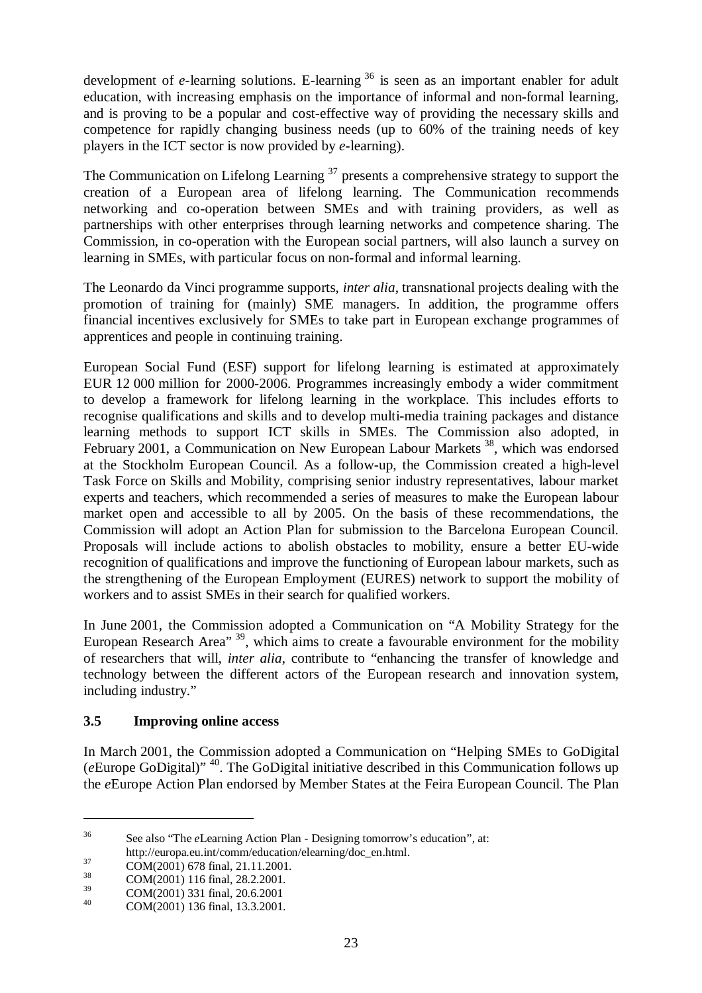development of *e*-learning solutions. E-learning <sup>36</sup> is seen as an important enabler for adult education, with increasing emphasis on the importance of informal and non-formal learning, and is proving to be a popular and cost-effective way of providing the necessary skills and competence for rapidly changing business needs (up to 60% of the training needs of key players in the ICT sector is now provided by *e*-learning).

The Communication on Lifelong Learning  $37$  presents a comprehensive strategy to support the creation of a European area of lifelong learning. The Communication recommends networking and co-operation between SMEs and with training providers, as well as partnerships with other enterprises through learning networks and competence sharing. The Commission, in co-operation with the European social partners, will also launch a survey on learning in SMEs, with particular focus on non-formal and informal learning.

The Leonardo da Vinci programme supports, *inter alia*, transnational projects dealing with the promotion of training for (mainly) SME managers. In addition, the programme offers financial incentives exclusively for SMEs to take part in European exchange programmes of apprentices and people in continuing training.

European Social Fund (ESF) support for lifelong learning is estimated at approximately EUR 12 000 million for 2000-2006. Programmes increasingly embody a wider commitment to develop a framework for lifelong learning in the workplace. This includes efforts to recognise qualifications and skills and to develop multi-media training packages and distance learning methods to support ICT skills in SMEs. The Commission also adopted, in February 2001, a Communication on New European Labour Markets <sup>38</sup>, which was endorsed at the Stockholm European Council. As a follow-up, the Commission created a high-level Task Force on Skills and Mobility, comprising senior industry representatives, labour market experts and teachers, which recommended a series of measures to make the European labour market open and accessible to all by 2005. On the basis of these recommendations, the Commission will adopt an Action Plan for submission to the Barcelona European Council. Proposals will include actions to abolish obstacles to mobility, ensure a better EU-wide recognition of qualifications and improve the functioning of European labour markets, such as the strengthening of the European Employment (EURES) network to support the mobility of workers and to assist SMEs in their search for qualified workers.

In June 2001, the Commission adopted a Communication on "A Mobility Strategy for the European Research Area" <sup>39</sup>, which aims to create a favourable environment for the mobility of researchers that will, *inter alia*, contribute to "enhancing the transfer of knowledge and technology between the different actors of the European research and innovation system, including industry."

## **3.5 Improving online access**

In March 2001, the Commission adopted a Communication on "Helping SMEs to GoDigital (*e*Europe GoDigital)" 40. The GoDigital initiative described in this Communication follows up the *e*Europe Action Plan endorsed by Member States at the Feira European Council. The Plan

<sup>36</sup> See also "The *e*Learning Action Plan - Designing tomorrow's education", at:

http://europa.eu.int/comm/education/elearning/doc\_en.html.<br>
COM(2001) 678 final, 21.11.2001.<br>
COM(2001) 116 final, 28.2.2001.

 $^{39}$  COM(2001) 331 final, 20.6.2001<br>  $^{40}$  COM(2001) 136 final, 13.3.2001.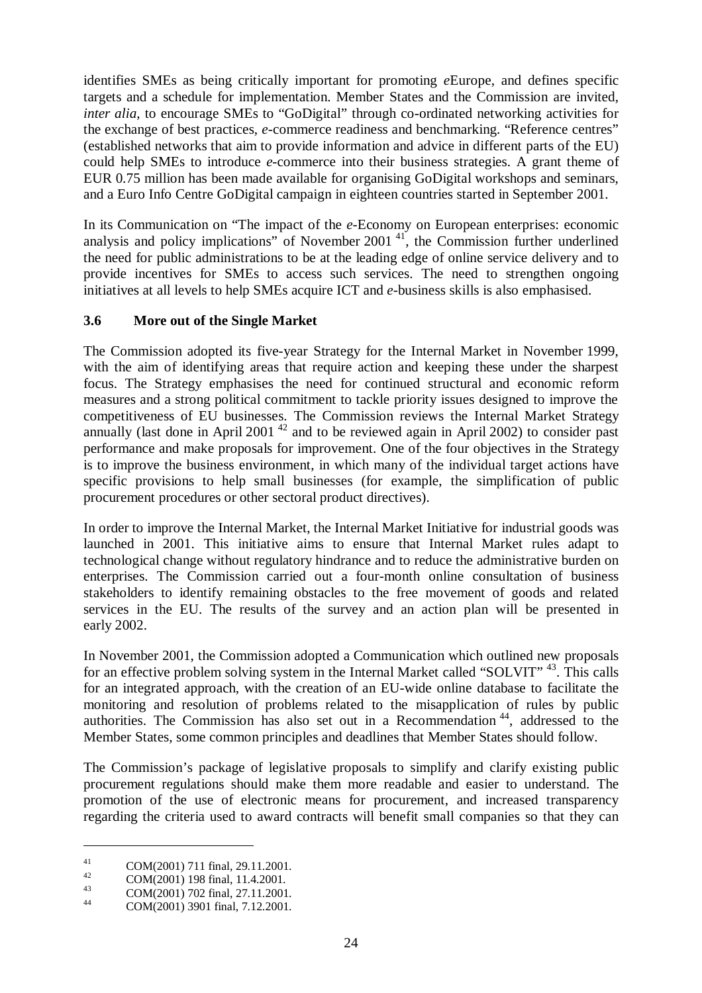identifies SMEs as being critically important for promoting *e*Europe, and defines specific targets and a schedule for implementation. Member States and the Commission are invited, *inter alia*, to encourage SMEs to "GoDigital" through co-ordinated networking activities for the exchange of best practices, *e*-commerce readiness and benchmarking. "Reference centres" (established networks that aim to provide information and advice in different parts of the EU) could help SMEs to introduce *e*-commerce into their business strategies. A grant theme of EUR 0.75 million has been made available for organising GoDigital workshops and seminars, and a Euro Info Centre GoDigital campaign in eighteen countries started in September 2001.

In its Communication on "The impact of the *e*-Economy on European enterprises: economic analysis and policy implications" of November 2001<sup>41</sup>, the Commission further underlined the need for public administrations to be at the leading edge of online service delivery and to provide incentives for SMEs to access such services. The need to strengthen ongoing initiatives at all levels to help SMEs acquire ICT and *e*-business skills is also emphasised.

## **3.6 More out of the Single Market**

The Commission adopted its five-year Strategy for the Internal Market in November 1999, with the aim of identifying areas that require action and keeping these under the sharpest focus. The Strategy emphasises the need for continued structural and economic reform measures and a strong political commitment to tackle priority issues designed to improve the competitiveness of EU businesses. The Commission reviews the Internal Market Strategy annually (last done in April 2001<sup>42</sup> and to be reviewed again in April 2002) to consider past performance and make proposals for improvement. One of the four objectives in the Strategy is to improve the business environment, in which many of the individual target actions have specific provisions to help small businesses (for example, the simplification of public procurement procedures or other sectoral product directives).

In order to improve the Internal Market, the Internal Market Initiative for industrial goods was launched in 2001. This initiative aims to ensure that Internal Market rules adapt to technological change without regulatory hindrance and to reduce the administrative burden on enterprises. The Commission carried out a four-month online consultation of business stakeholders to identify remaining obstacles to the free movement of goods and related services in the EU. The results of the survey and an action plan will be presented in early 2002.

In November 2001, the Commission adopted a Communication which outlined new proposals for an effective problem solving system in the Internal Market called "SOLVIT"<sup>43</sup>. This calls for an integrated approach, with the creation of an EU-wide online database to facilitate the monitoring and resolution of problems related to the misapplication of rules by public authorities. The Commission has also set out in a Recommendation 44, addressed to the Member States, some common principles and deadlines that Member States should follow.

The Commission's package of legislative proposals to simplify and clarify existing public procurement regulations should make them more readable and easier to understand. The promotion of the use of electronic means for procurement, and increased transparency regarding the criteria used to award contracts will benefit small companies so that they can

<sup>41</sup> COM(2001) 711 final, 29.11.2001.<br>
44 COM(2001) 198 final, 11.4.2001.<br>
44 COM(2001) 3901 final, 7.12.2001.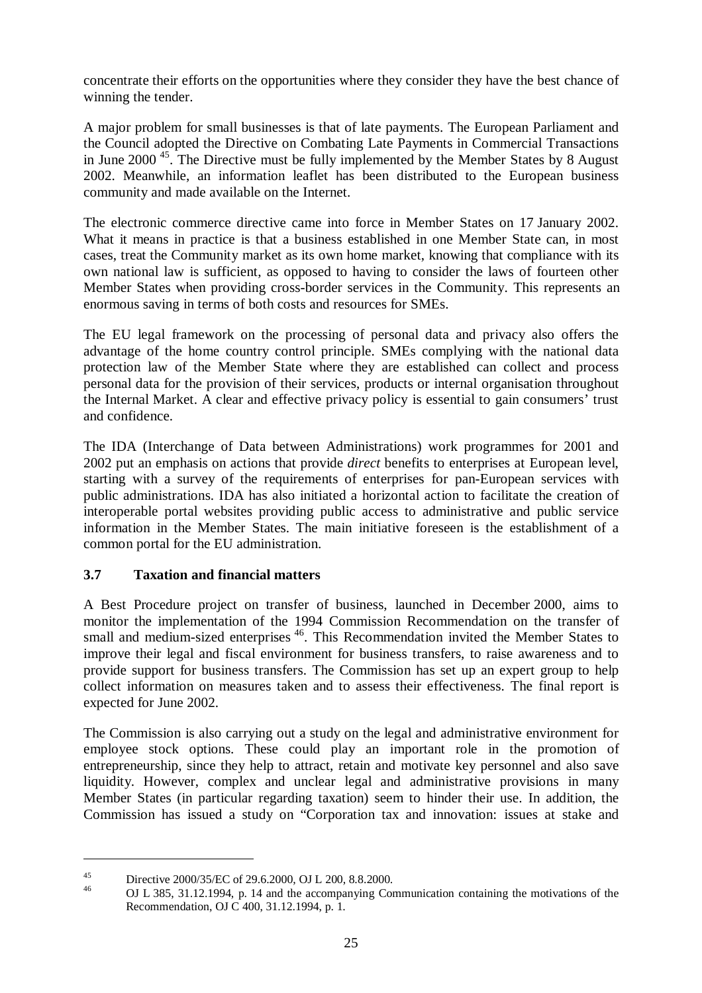concentrate their efforts on the opportunities where they consider they have the best chance of winning the tender.

A major problem for small businesses is that of late payments. The European Parliament and the Council adopted the Directive on Combating Late Payments in Commercial Transactions in June 2000 45. The Directive must be fully implemented by the Member States by 8 August 2002. Meanwhile, an information leaflet has been distributed to the European business community and made available on the Internet.

The electronic commerce directive came into force in Member States on 17 January 2002. What it means in practice is that a business established in one Member State can, in most cases, treat the Community market as its own home market, knowing that compliance with its own national law is sufficient, as opposed to having to consider the laws of fourteen other Member States when providing cross-border services in the Community. This represents an enormous saving in terms of both costs and resources for SMEs.

The EU legal framework on the processing of personal data and privacy also offers the advantage of the home country control principle. SMEs complying with the national data protection law of the Member State where they are established can collect and process personal data for the provision of their services, products or internal organisation throughout the Internal Market. A clear and effective privacy policy is essential to gain consumers' trust and confidence.

The IDA (Interchange of Data between Administrations) work programmes for 2001 and 2002 put an emphasis on actions that provide *direct* benefits to enterprises at European level, starting with a survey of the requirements of enterprises for pan-European services with public administrations. IDA has also initiated a horizontal action to facilitate the creation of interoperable portal websites providing public access to administrative and public service information in the Member States. The main initiative foreseen is the establishment of a common portal for the EU administration.

# **3.7 Taxation and financial matters**

A Best Procedure project on transfer of business, launched in December 2000, aims to monitor the implementation of the 1994 Commission Recommendation on the transfer of small and medium-sized enterprises <sup>46</sup>. This Recommendation invited the Member States to improve their legal and fiscal environment for business transfers, to raise awareness and to provide support for business transfers. The Commission has set up an expert group to help collect information on measures taken and to assess their effectiveness. The final report is expected for June 2002.

The Commission is also carrying out a study on the legal and administrative environment for employee stock options. These could play an important role in the promotion of entrepreneurship, since they help to attract, retain and motivate key personnel and also save liquidity. However, complex and unclear legal and administrative provisions in many Member States (in particular regarding taxation) seem to hinder their use. In addition, the Commission has issued a study on "Corporation tax and innovation: issues at stake and

<sup>&</sup>lt;sup>45</sup> Directive 2000/35/EC of 29.6.2000, OJ L 200, 8.8.2000.<br><sup>46</sup> OJ L 385, 31.12.1994, p. 14 and the accompanying Communication containing the motivations of the Recommendation, OJ C 400, 31.12.1994, p. 1.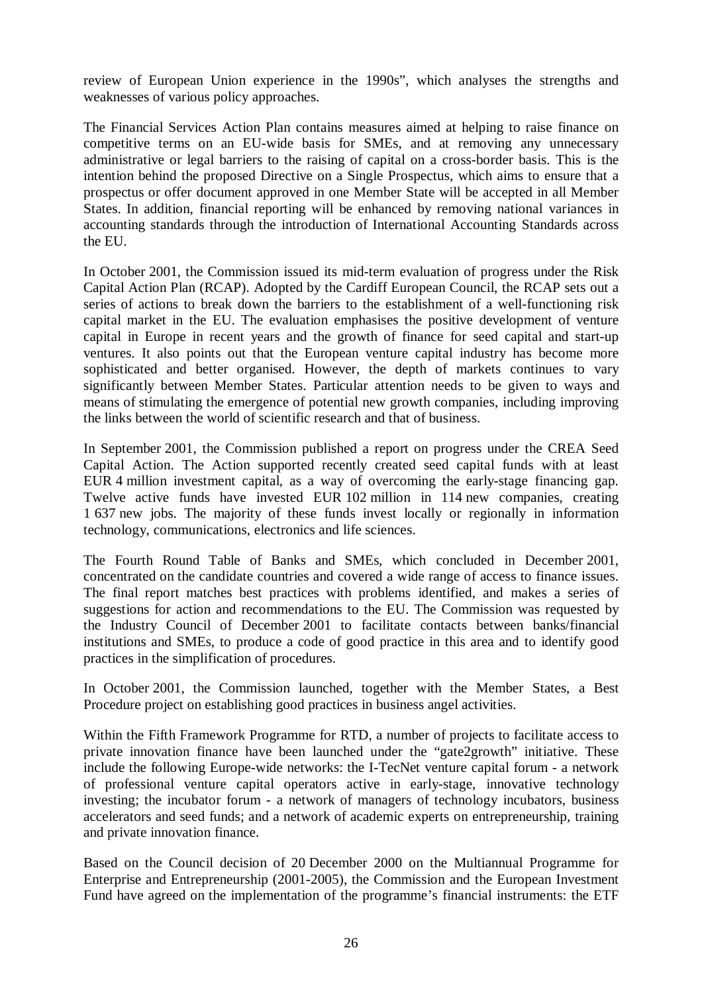review of European Union experience in the 1990s", which analyses the strengths and weaknesses of various policy approaches.

The Financial Services Action Plan contains measures aimed at helping to raise finance on competitive terms on an EU-wide basis for SMEs, and at removing any unnecessary administrative or legal barriers to the raising of capital on a cross-border basis. This is the intention behind the proposed Directive on a Single Prospectus, which aims to ensure that a prospectus or offer document approved in one Member State will be accepted in all Member States. In addition, financial reporting will be enhanced by removing national variances in accounting standards through the introduction of International Accounting Standards across the EU.

In October 2001, the Commission issued its mid-term evaluation of progress under the Risk Capital Action Plan (RCAP). Adopted by the Cardiff European Council, the RCAP sets out a series of actions to break down the barriers to the establishment of a well-functioning risk capital market in the EU. The evaluation emphasises the positive development of venture capital in Europe in recent years and the growth of finance for seed capital and start-up ventures. It also points out that the European venture capital industry has become more sophisticated and better organised. However, the depth of markets continues to vary significantly between Member States. Particular attention needs to be given to ways and means of stimulating the emergence of potential new growth companies, including improving the links between the world of scientific research and that of business.

In September 2001, the Commission published a report on progress under the CREA Seed Capital Action. The Action supported recently created seed capital funds with at least EUR 4 million investment capital, as a way of overcoming the early-stage financing gap. Twelve active funds have invested EUR 102 million in 114 new companies, creating 1 637 new jobs. The majority of these funds invest locally or regionally in information technology, communications, electronics and life sciences.

The Fourth Round Table of Banks and SMEs, which concluded in December 2001, concentrated on the candidate countries and covered a wide range of access to finance issues. The final report matches best practices with problems identified, and makes a series of suggestions for action and recommendations to the EU. The Commission was requested by the Industry Council of December 2001 to facilitate contacts between banks/financial institutions and SMEs, to produce a code of good practice in this area and to identify good practices in the simplification of procedures.

In October 2001, the Commission launched, together with the Member States, a Best Procedure project on establishing good practices in business angel activities.

Within the Fifth Framework Programme for RTD, a number of projects to facilitate access to private innovation finance have been launched under the "gate2growth" initiative. These include the following Europe-wide networks: the I-TecNet venture capital forum - a network of professional venture capital operators active in early-stage, innovative technology investing; the incubator forum - a network of managers of technology incubators, business accelerators and seed funds; and a network of academic experts on entrepreneurship, training and private innovation finance.

Based on the Council decision of 20 December 2000 on the Multiannual Programme for Enterprise and Entrepreneurship (2001-2005), the Commission and the European Investment Fund have agreed on the implementation of the programme's financial instruments: the ETF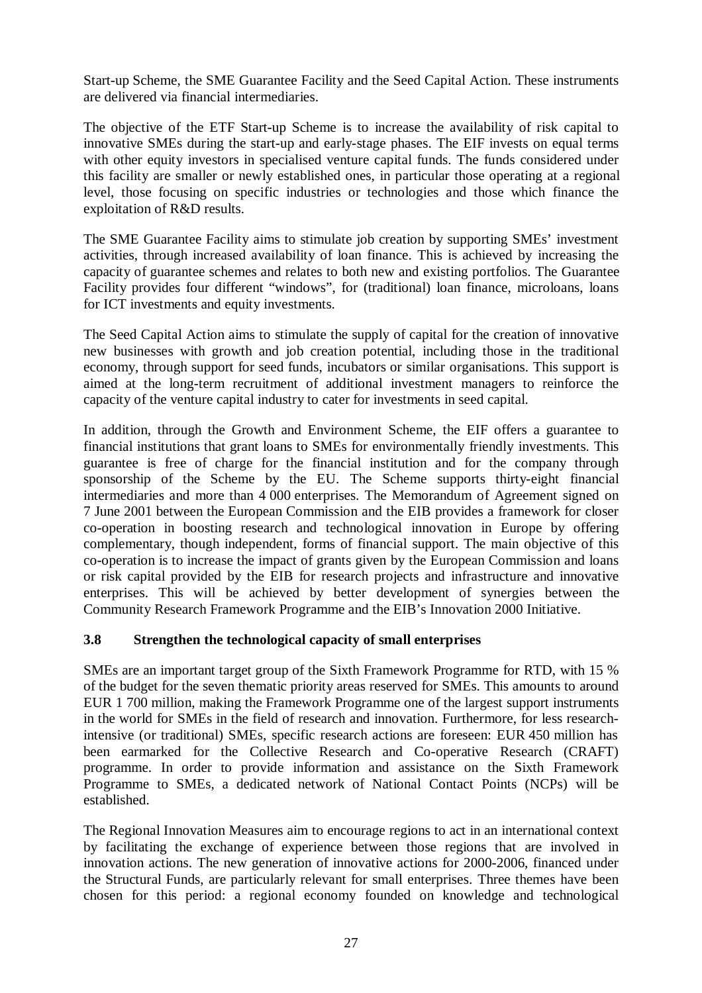Start-up Scheme, the SME Guarantee Facility and the Seed Capital Action. These instruments are delivered via financial intermediaries.

The objective of the ETF Start-up Scheme is to increase the availability of risk capital to innovative SMEs during the start-up and early-stage phases. The EIF invests on equal terms with other equity investors in specialised venture capital funds. The funds considered under this facility are smaller or newly established ones, in particular those operating at a regional level, those focusing on specific industries or technologies and those which finance the exploitation of R&D results.

The SME Guarantee Facility aims to stimulate job creation by supporting SMEs' investment activities, through increased availability of loan finance. This is achieved by increasing the capacity of guarantee schemes and relates to both new and existing portfolios. The Guarantee Facility provides four different "windows", for (traditional) loan finance, microloans, loans for ICT investments and equity investments.

The Seed Capital Action aims to stimulate the supply of capital for the creation of innovative new businesses with growth and job creation potential, including those in the traditional economy, through support for seed funds, incubators or similar organisations. This support is aimed at the long-term recruitment of additional investment managers to reinforce the capacity of the venture capital industry to cater for investments in seed capital.

In addition, through the Growth and Environment Scheme, the EIF offers a guarantee to financial institutions that grant loans to SMEs for environmentally friendly investments. This guarantee is free of charge for the financial institution and for the company through sponsorship of the Scheme by the EU. The Scheme supports thirty-eight financial intermediaries and more than 4 000 enterprises. The Memorandum of Agreement signed on 7 June 2001 between the European Commission and the EIB provides a framework for closer co-operation in boosting research and technological innovation in Europe by offering complementary, though independent, forms of financial support. The main objective of this co-operation is to increase the impact of grants given by the European Commission and loans or risk capital provided by the EIB for research projects and infrastructure and innovative enterprises. This will be achieved by better development of synergies between the Community Research Framework Programme and the EIB's Innovation 2000 Initiative.

## **3.8 Strengthen the technological capacity of small enterprises**

SMEs are an important target group of the Sixth Framework Programme for RTD, with 15 % of the budget for the seven thematic priority areas reserved for SMEs. This amounts to around EUR 1 700 million, making the Framework Programme one of the largest support instruments in the world for SMEs in the field of research and innovation. Furthermore, for less researchintensive (or traditional) SMEs, specific research actions are foreseen: EUR 450 million has been earmarked for the Collective Research and Co-operative Research (CRAFT) programme. In order to provide information and assistance on the Sixth Framework Programme to SMEs, a dedicated network of National Contact Points (NCPs) will be established.

The Regional Innovation Measures aim to encourage regions to act in an international context by facilitating the exchange of experience between those regions that are involved in innovation actions. The new generation of innovative actions for 2000-2006, financed under the Structural Funds, are particularly relevant for small enterprises. Three themes have been chosen for this period: a regional economy founded on knowledge and technological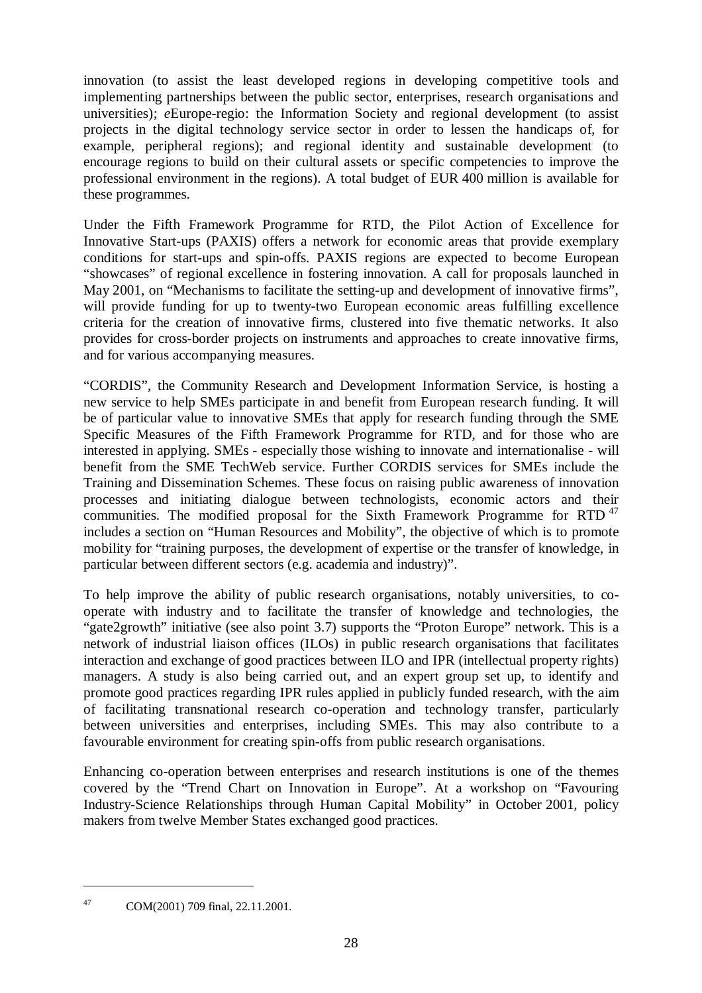innovation (to assist the least developed regions in developing competitive tools and implementing partnerships between the public sector, enterprises, research organisations and universities); *eEurope-regio:* the Information Society and regional development (to assist projects in the digital technology service sector in order to lessen the handicaps of, for example, peripheral regions); and regional identity and sustainable development (to encourage regions to build on their cultural assets or specific competencies to improve the professional environment in the regions). A total budget of EUR 400 million is available for these programmes.

Under the Fifth Framework Programme for RTD, the Pilot Action of Excellence for Innovative Start-ups (PAXIS) offers a network for economic areas that provide exemplary conditions for start-ups and spin-offs. PAXIS regions are expected to become European "showcases" of regional excellence in fostering innovation. A call for proposals launched in May 2001, on "Mechanisms to facilitate the setting-up and development of innovative firms", will provide funding for up to twenty-two European economic areas fulfilling excellence criteria for the creation of innovative firms, clustered into five thematic networks. It also provides for cross-border projects on instruments and approaches to create innovative firms, and for various accompanying measures.

"CORDIS", the Community Research and Development Information Service, is hosting a new service to help SMEs participate in and benefit from European research funding. It will be of particular value to innovative SMEs that apply for research funding through the SME Specific Measures of the Fifth Framework Programme for RTD, and for those who are interested in applying. SMEs - especially those wishing to innovate and internationalise - will benefit from the SME TechWeb service. Further CORDIS services for SMEs include the Training and Dissemination Schemes. These focus on raising public awareness of innovation processes and initiating dialogue between technologists, economic actors and their communities. The modified proposal for the Sixth Framework Programme for  $RTD$ <sup>47</sup> includes a section on "Human Resources and Mobility", the objective of which is to promote mobility for "training purposes, the development of expertise or the transfer of knowledge, in particular between different sectors (e.g. academia and industry)".

To help improve the ability of public research organisations, notably universities, to cooperate with industry and to facilitate the transfer of knowledge and technologies, the "gate2growth" initiative (see also point 3.7) supports the "Proton Europe" network. This is a network of industrial liaison offices (ILOs) in public research organisations that facilitates interaction and exchange of good practices between ILO and IPR (intellectual property rights) managers. A study is also being carried out, and an expert group set up, to identify and promote good practices regarding IPR rules applied in publicly funded research, with the aim of facilitating transnational research co-operation and technology transfer, particularly between universities and enterprises, including SMEs. This may also contribute to a favourable environment for creating spin-offs from public research organisations.

Enhancing co-operation between enterprises and research institutions is one of the themes covered by the "Trend Chart on Innovation in Europe". At a workshop on "Favouring Industry-Science Relationships through Human Capital Mobility" in October 2001, policy makers from twelve Member States exchanged good practices.

<sup>47</sup> COM(2001) 709 final, 22.11.2001.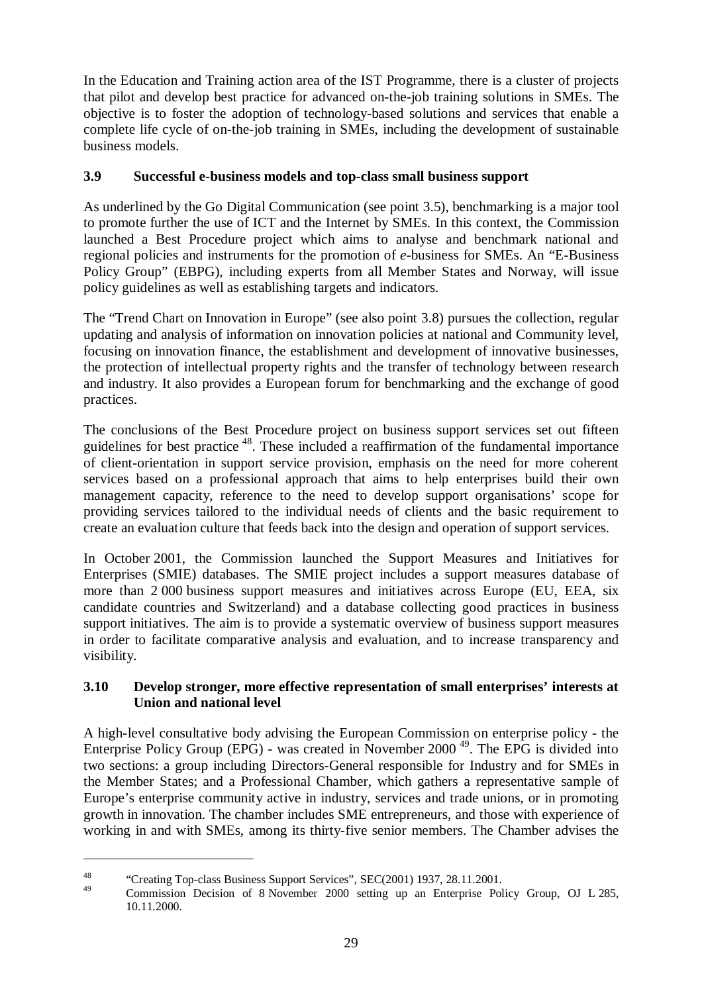In the Education and Training action area of the IST Programme, there is a cluster of projects that pilot and develop best practice for advanced on-the-job training solutions in SMEs. The objective is to foster the adoption of technology-based solutions and services that enable a complete life cycle of on-the-job training in SMEs, including the development of sustainable business models.

## **3.9 Successful e-business models and top-class small business support**

As underlined by the Go Digital Communication (see point 3.5), benchmarking is a major tool to promote further the use of ICT and the Internet by SMEs. In this context, the Commission launched a Best Procedure project which aims to analyse and benchmark national and regional policies and instruments for the promotion of *e*-business for SMEs. An "E-Business Policy Group" (EBPG), including experts from all Member States and Norway, will issue policy guidelines as well as establishing targets and indicators.

The "Trend Chart on Innovation in Europe" (see also point 3.8) pursues the collection, regular updating and analysis of information on innovation policies at national and Community level, focusing on innovation finance, the establishment and development of innovative businesses, the protection of intellectual property rights and the transfer of technology between research and industry. It also provides a European forum for benchmarking and the exchange of good practices.

The conclusions of the Best Procedure project on business support services set out fifteen guidelines for best practice 48. These included a reaffirmation of the fundamental importance of client-orientation in support service provision, emphasis on the need for more coherent services based on a professional approach that aims to help enterprises build their own management capacity, reference to the need to develop support organisations' scope for providing services tailored to the individual needs of clients and the basic requirement to create an evaluation culture that feeds back into the design and operation of support services.

In October 2001, the Commission launched the Support Measures and Initiatives for Enterprises (SMIE) databases. The SMIE project includes a support measures database of more than 2 000 business support measures and initiatives across Europe (EU, EEA, six candidate countries and Switzerland) and a database collecting good practices in business support initiatives. The aim is to provide a systematic overview of business support measures in order to facilitate comparative analysis and evaluation, and to increase transparency and visibility.

## **3.10 Develop stronger, more effective representation of small enterprises' interests at Union and national level**

A high-level consultative body advising the European Commission on enterprise policy - the Enterprise Policy Group (EPG) - was created in November 2000<sup> $49$ </sup>. The EPG is divided into two sections: a group including Directors-General responsible for Industry and for SMEs in the Member States; and a Professional Chamber, which gathers a representative sample of Europe's enterprise community active in industry, services and trade unions, or in promoting growth in innovation. The chamber includes SME entrepreneurs, and those with experience of working in and with SMEs, among its thirty-five senior members. The Chamber advises the

<sup>&</sup>lt;sup>48</sup> "Creating Top-class Business Support Services", SEC(2001) 1937, 28.11.2001.

<sup>49</sup> Commission Decision of 8 November 2000 setting up an Enterprise Policy Group, OJ L 285, 10.11.2000.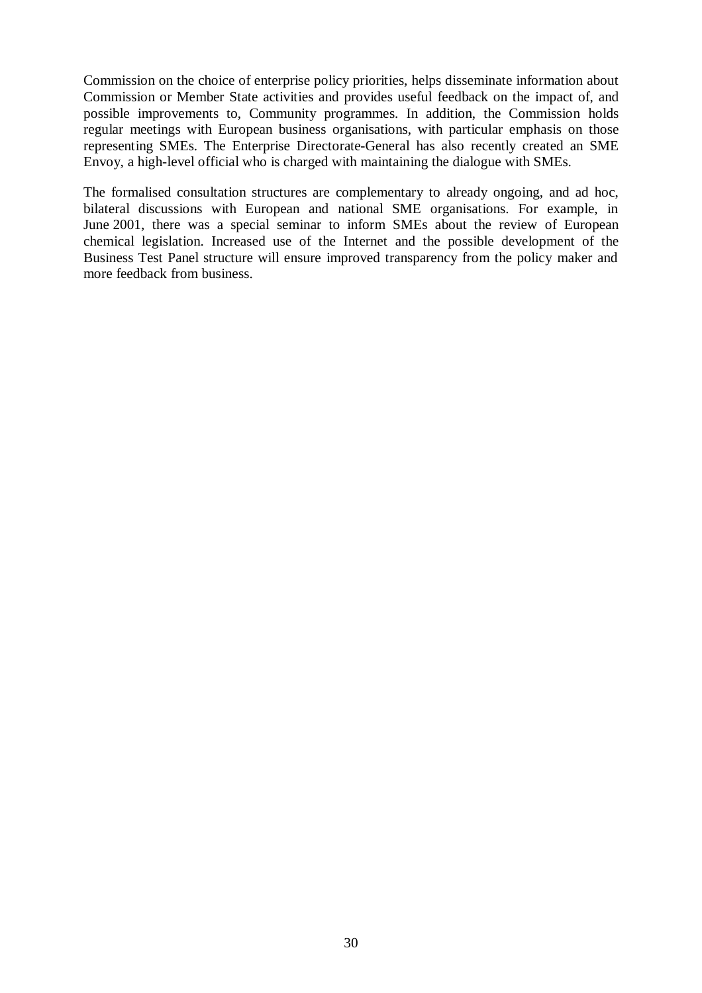Commission on the choice of enterprise policy priorities, helps disseminate information about Commission or Member State activities and provides useful feedback on the impact of, and possible improvements to, Community programmes. In addition, the Commission holds regular meetings with European business organisations, with particular emphasis on those representing SMEs. The Enterprise Directorate-General has also recently created an SME Envoy, a high-level official who is charged with maintaining the dialogue with SMEs.

The formalised consultation structures are complementary to already ongoing, and ad hoc, bilateral discussions with European and national SME organisations. For example, in June 2001, there was a special seminar to inform SMEs about the review of European chemical legislation. Increased use of the Internet and the possible development of the Business Test Panel structure will ensure improved transparency from the policy maker and more feedback from business.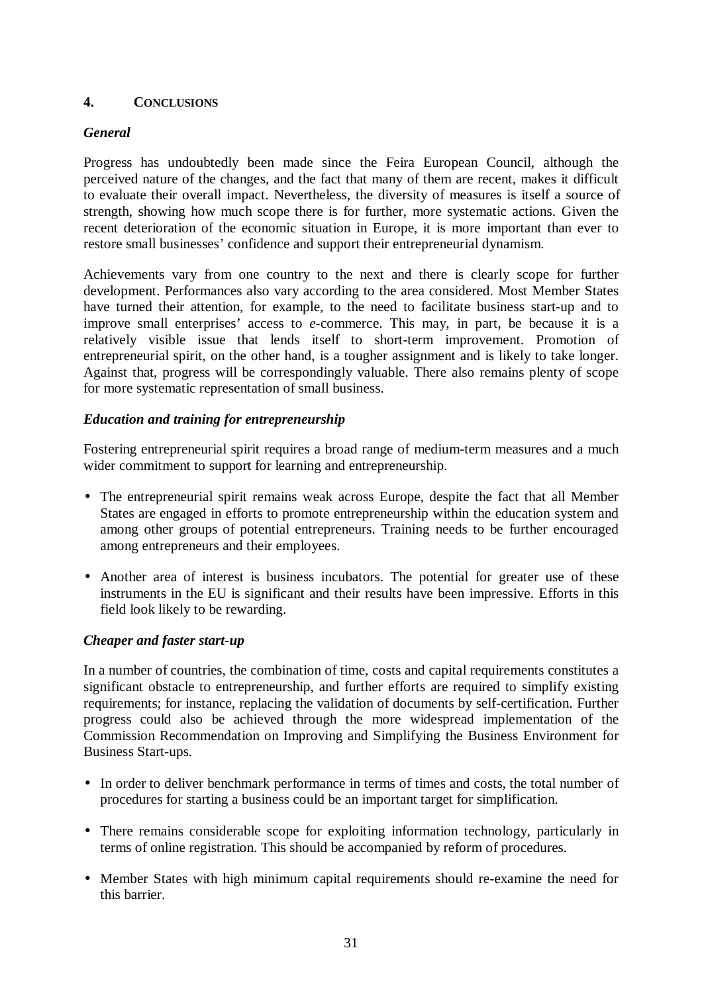## **4. CONCLUSIONS**

#### *General*

Progress has undoubtedly been made since the Feira European Council, although the perceived nature of the changes, and the fact that many of them are recent, makes it difficult to evaluate their overall impact. Nevertheless, the diversity of measures is itself a source of strength, showing how much scope there is for further, more systematic actions. Given the recent deterioration of the economic situation in Europe, it is more important than ever to restore small businesses' confidence and support their entrepreneurial dynamism.

Achievements vary from one country to the next and there is clearly scope for further development. Performances also vary according to the area considered. Most Member States have turned their attention, for example, to the need to facilitate business start-up and to improve small enterprises' access to *e*-commerce. This may, in part, be because it is a relatively visible issue that lends itself to short-term improvement. Promotion of entrepreneurial spirit, on the other hand, is a tougher assignment and is likely to take longer. Against that, progress will be correspondingly valuable. There also remains plenty of scope for more systematic representation of small business.

#### *Education and training for entrepreneurship*

Fostering entrepreneurial spirit requires a broad range of medium-term measures and a much wider commitment to support for learning and entrepreneurship.

- The entrepreneurial spirit remains weak across Europe, despite the fact that all Member States are engaged in efforts to promote entrepreneurship within the education system and among other groups of potential entrepreneurs. Training needs to be further encouraged among entrepreneurs and their employees.
- Another area of interest is business incubators. The potential for greater use of these instruments in the EU is significant and their results have been impressive. Efforts in this field look likely to be rewarding.

#### *Cheaper and faster start-up*

In a number of countries, the combination of time, costs and capital requirements constitutes a significant obstacle to entrepreneurship, and further efforts are required to simplify existing requirements; for instance, replacing the validation of documents by self-certification. Further progress could also be achieved through the more widespread implementation of the Commission Recommendation on Improving and Simplifying the Business Environment for Business Start-ups.

- In order to deliver benchmark performance in terms of times and costs, the total number of procedures for starting a business could be an important target for simplification.
- There remains considerable scope for exploiting information technology, particularly in terms of online registration. This should be accompanied by reform of procedures.
- Member States with high minimum capital requirements should re-examine the need for this barrier.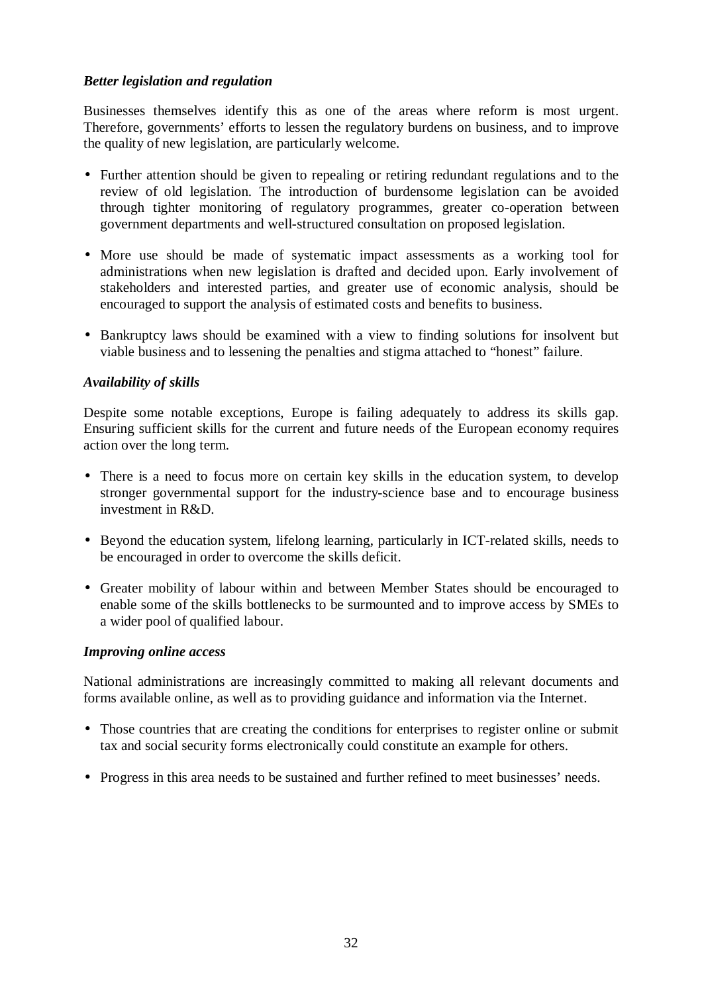#### *Better legislation and regulation*

Businesses themselves identify this as one of the areas where reform is most urgent. Therefore, governments' efforts to lessen the regulatory burdens on business, and to improve the quality of new legislation, are particularly welcome.

- Further attention should be given to repealing or retiring redundant regulations and to the review of old legislation. The introduction of burdensome legislation can be avoided through tighter monitoring of regulatory programmes, greater co-operation between government departments and well-structured consultation on proposed legislation.
- More use should be made of systematic impact assessments as a working tool for administrations when new legislation is drafted and decided upon. Early involvement of stakeholders and interested parties, and greater use of economic analysis, should be encouraged to support the analysis of estimated costs and benefits to business.
- Bankruptcy laws should be examined with a view to finding solutions for insolvent but viable business and to lessening the penalties and stigma attached to "honest" failure.

#### *Availability of skills*

Despite some notable exceptions, Europe is failing adequately to address its skills gap. Ensuring sufficient skills for the current and future needs of the European economy requires action over the long term.

- There is a need to focus more on certain key skills in the education system, to develop stronger governmental support for the industry-science base and to encourage business investment in R&D.
- Beyond the education system, lifelong learning, particularly in ICT-related skills, needs to be encouraged in order to overcome the skills deficit.
- Greater mobility of labour within and between Member States should be encouraged to enable some of the skills bottlenecks to be surmounted and to improve access by SMEs to a wider pool of qualified labour.

#### *Improving online access*

National administrations are increasingly committed to making all relevant documents and forms available online, as well as to providing guidance and information via the Internet.

- Those countries that are creating the conditions for enterprises to register online or submit tax and social security forms electronically could constitute an example for others.
- Progress in this area needs to be sustained and further refined to meet businesses' needs.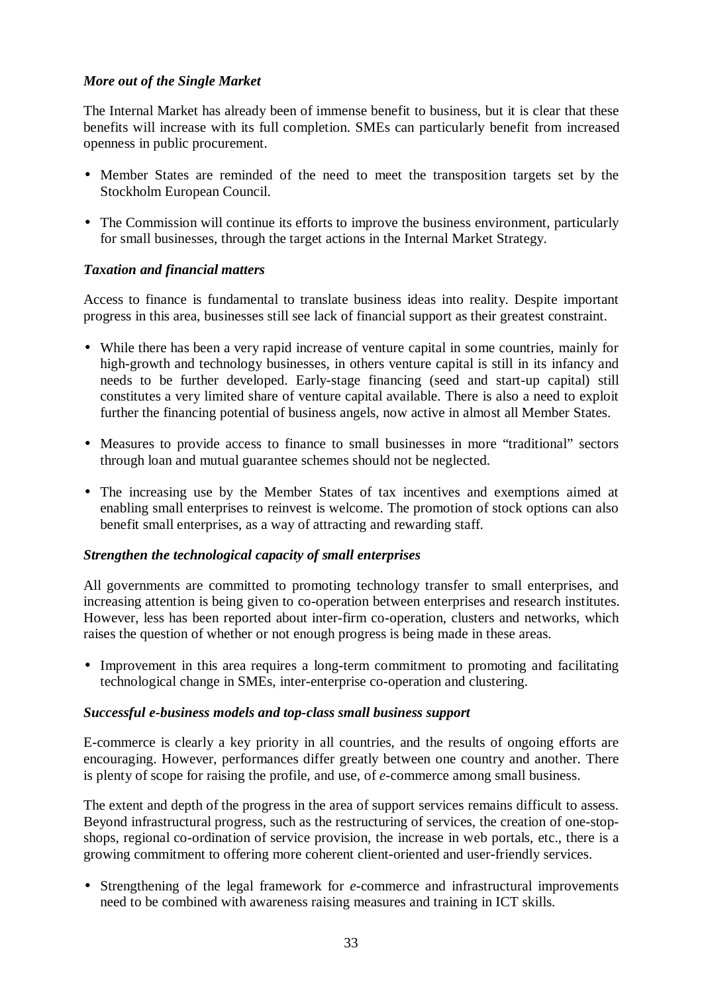## *More out of the Single Market*

The Internal Market has already been of immense benefit to business, but it is clear that these benefits will increase with its full completion. SMEs can particularly benefit from increased openness in public procurement.

- Member States are reminded of the need to meet the transposition targets set by the Stockholm European Council.
- The Commission will continue its efforts to improve the business environment, particularly for small businesses, through the target actions in the Internal Market Strategy.

## *Taxation and financial matters*

Access to finance is fundamental to translate business ideas into reality. Despite important progress in this area, businesses still see lack of financial support as their greatest constraint.

- While there has been a very rapid increase of venture capital in some countries, mainly for high-growth and technology businesses, in others venture capital is still in its infancy and needs to be further developed. Early-stage financing (seed and start-up capital) still constitutes a very limited share of venture capital available. There is also a need to exploit further the financing potential of business angels, now active in almost all Member States.
- Measures to provide access to finance to small businesses in more "traditional" sectors through loan and mutual guarantee schemes should not be neglected.
- The increasing use by the Member States of tax incentives and exemptions aimed at enabling small enterprises to reinvest is welcome. The promotion of stock options can also benefit small enterprises, as a way of attracting and rewarding staff.

## *Strengthen the technological capacity of small enterprises*

All governments are committed to promoting technology transfer to small enterprises, and increasing attention is being given to co-operation between enterprises and research institutes. However, less has been reported about inter-firm co-operation, clusters and networks, which raises the question of whether or not enough progress is being made in these areas.

• Improvement in this area requires a long-term commitment to promoting and facilitating technological change in SMEs, inter-enterprise co-operation and clustering.

#### *Successful e-business models and top-class small business support*

E-commerce is clearly a key priority in all countries, and the results of ongoing efforts are encouraging. However, performances differ greatly between one country and another. There is plenty of scope for raising the profile, and use, of *e*-commerce among small business.

The extent and depth of the progress in the area of support services remains difficult to assess. Beyond infrastructural progress, such as the restructuring of services, the creation of one-stopshops, regional co-ordination of service provision, the increase in web portals, etc., there is a growing commitment to offering more coherent client-oriented and user-friendly services.

• Strengthening of the legal framework for *e*-commerce and infrastructural improvements need to be combined with awareness raising measures and training in ICT skills.